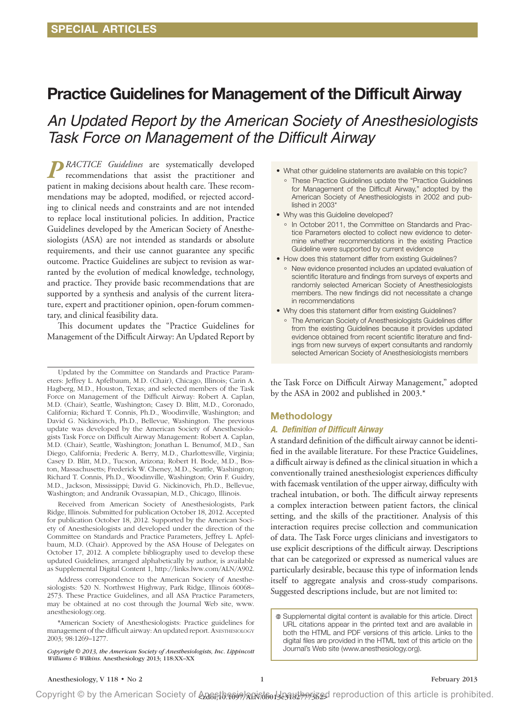# Practice Guidelines for Management of the Difficult Airway

*An Updated Report by the American Society of Anesthesiologists Task Force on Management of the Difficult Airway*

**PRACTICE** Guidelines are systematically developed recommendations that assist the practitioner and patient in making decisions about health care. These recommendations may be adopted, modified, or rejected according to clinical needs and constraints and are not intended to replace local institutional policies. In addition, Practice Guidelines developed by the American Society of Anesthesiologists (ASA) are not intended as standards or absolute requirements, and their use cannot guarantee any specific outcome. Practice Guidelines are subject to revision as warranted by the evolution of medical knowledge, technology, and practice. They provide basic recommendations that are supported by a synthesis and analysis of the current literature, expert and practitioner opinion, open-forum commentary, and clinical feasibility data.

This document updates the "Practice Guidelines for Management of the Difficult Airway: An Updated Report by

Received from American Society of Anesthesiologists, Park Ridge, Illinois. Submitted for publication October 18, 2012. Accepted for publication October 18, 2012. Supported by the American Society of Anesthesiologists and developed under the direction of the Committee on Standards and Practice Parameters, Jeffrey L. Apfelbaum, M.D. (Chair). Approved by the ASA House of Delegates on October 17, 2012. A complete bibliography used to develop these updated Guidelines, arranged alphabetically by author, is available as Supplemental Digital Content 1, http://links.lww.com/ALN/A902.

Address correspondence to the American Society of Anesthesiologists: 520 N. Northwest Highway, Park Ridge, Illinois 60068– 2573. These Practice Guidelines, and all ASA Practice Parameters, may be obtained at no cost through the Journal Web site, [www.](www.anesthesiology.org) [anesthesiology.org.](www.anesthesiology.org)

\*American Society of Anesthesiologists: Practice guidelines for management of the difficult airway: An updated report. Anesthesiology 2003; 98:1269–1277.

*Copyright © 2013, the American Society of Anesthesiologists, Inc. Lippincott Williams & Wilkins.* Anesthesiology 2013; 118:XX*–*XX

- What other guideline statements are available on this topic?
- ° These Practice Guidelines update the "Practice Guidelines for Management of the Difficult Airway," adopted by the American Society of Anesthesiologists in 2002 and published in 2003\*
- Why was this Guideline developed?
	- ° In October 2011, the Committee on Standards and Practice Parameters elected to collect new evidence to determine whether recommendations in the existing Practice Guideline were supported by current evidence
- How does this statement differ from existing Guidelines?
- ° New evidence presented includes an updated evaluation of scientific literature and findings from surveys of experts and randomly selected American Society of Anesthesiologists members. The new findings did not necessitate a change in recommendations
- Why does this statement differ from existing Guidelines?
	- ° The American Society of Anesthesiologists Guidelines differ from the existing Guidelines because it provides updated evidence obtained from recent scientific literature and findings from new surveys of expert consultants and randomly selected American Society of Anesthesiologists members

the Task Force on Difficult Airway Management," adopted by the ASA in 2002 and published in 2003.\*

# **Methodology**

# *A. Definition of Difficult Airway*

A standard definition of the difficult airway cannot be identified in the available literature. For these Practice Guidelines, a difficult airway is defined as the clinical situation in which a conventionally trained anesthesiologist experiences difficulty with facemask ventilation of the upper airway, difficulty with tracheal intubation, or both. The difficult airway represents a complex interaction between patient factors, the clinical setting, and the skills of the practitioner. Analysis of this interaction requires precise collection and communication of data. The Task Force urges clinicians and investigators to use explicit descriptions of the difficult airway. Descriptions that can be categorized or expressed as numerical values are particularly desirable, because this type of information lends itself to aggregate analysis and cross-study comparisons. Suggested descriptions include, but are not limited to:

Updated by the Committee on Standards and Practice Parameters: Jeffrey L. Apfelbaum, M.D. (Chair), Chicago, Illinois; Carin A. Hagberg, M.D., Houston, Texas; and selected members of the Task Force on Management of the Difficult Airway: Robert A. Caplan, M.D. (Chair), Seattle, Washington; Casey D. Blitt, M.D., Coronado, California; Richard T. Connis, Ph.D., Woodinville, Washington; and David G. Nickinovich, Ph.D., Bellevue, Washington. The previous update was developed by the American Society of Anesthesiologists Task Force on Difficult Airway Management: Robert A. Caplan, M.D. (Chair), Seattle, Washington; Jonathan L. Benumof, M.D., San Diego, California; Frederic A. Berry, M.D., Charlottesville, Virginia; Casey D. Blitt, M.D., Tucson, Arizona; Robert H. Bode, M.D., Boston, Massachusetts; Frederick W. Cheney, M.D., Seattle, Washington; Richard T. Connis, Ph.D., Woodinville, Washington; Orin F. Guidry, M.D., Jackson, Mississippi; David G. Nickinovich, Ph.D., Bellevue, Washington; and Andranik Ovassapian, M.D., Chicago, Illinois.

Supplemental digital content is available for this article. Direct URL citations appear in the printed text and are available in both the HTML and PDF versions of this article. Links to the digital files are provided in the HTML text of this article on the Journal's Web site [\(www.anesthesiology.org\)](www.anesthesiology.org).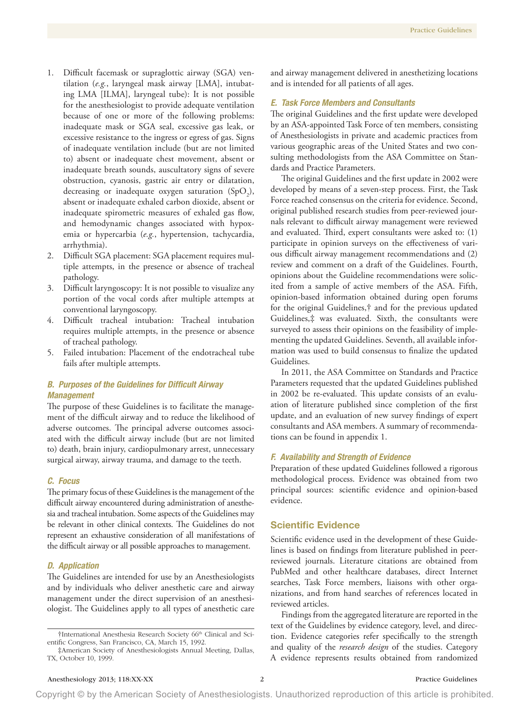- 1. Difficult facemask or supraglottic airway (SGA) ventilation (*e.g.*, laryngeal mask airway [LMA], intubating LMA [ILMA], laryngeal tube): It is not possible for the anesthesiologist to provide adequate ventilation because of one or more of the following problems: inadequate mask or SGA seal, excessive gas leak, or excessive resistance to the ingress or egress of gas. Signs of inadequate ventilation include (but are not limited to) absent or inadequate chest movement, absent or inadequate breath sounds, auscultatory signs of severe obstruction, cyanosis, gastric air entry or dilatation, decreasing or inadequate oxygen saturation (SpO<sub>2</sub>), absent or inadequate exhaled carbon dioxide, absent or inadequate spirometric measures of exhaled gas flow, and hemodynamic changes associated with hypoxemia or hypercarbia (*e.g.*, hypertension, tachycardia, arrhythmia).
- 2. Difficult SGA placement: SGA placement requires multiple attempts, in the presence or absence of tracheal pathology.
- 3. Difficult laryngoscopy: It is not possible to visualize any portion of the vocal cords after multiple attempts at conventional laryngoscopy.
- 4. Difficult tracheal intubation: Tracheal intubation requires multiple attempts, in the presence or absence of tracheal pathology.
- 5. Failed intubation: Placement of the endotracheal tube fails after multiple attempts.

# *B. Purposes of the Guidelines for Difficult Airway Management*

The purpose of these Guidelines is to facilitate the management of the difficult airway and to reduce the likelihood of adverse outcomes. The principal adverse outcomes associated with the difficult airway include (but are not limited to) death, brain injury, cardiopulmonary arrest, unnecessary surgical airway, airway trauma, and damage to the teeth.

#### *C. Focus*

The primary focus of these Guidelines is the management of the difficult airway encountered during administration of anesthesia and tracheal intubation. Some aspects of the Guidelines may be relevant in other clinical contexts. The Guidelines do not represent an exhaustive consideration of all manifestations of the difficult airway or all possible approaches to management.

#### *D. Application*

The Guidelines are intended for use by an Anesthesiologists and by individuals who deliver anesthetic care and airway management under the direct supervision of an anesthesiologist. The Guidelines apply to all types of anesthetic care and airway management delivered in anesthetizing locations and is intended for all patients of all ages.

# *E. Task Force Members and Consultants*

The original Guidelines and the first update were developed by an ASA-appointed Task Force of ten members, consisting of Anesthesiologists in private and academic practices from various geographic areas of the United States and two consulting methodologists from the ASA Committee on Standards and Practice Parameters.

The original Guidelines and the first update in 2002 were developed by means of a seven-step process. First, the Task Force reached consensus on the criteria for evidence. Second, original published research studies from peer-reviewed journals relevant to difficult airway management were reviewed and evaluated. Third, expert consultants were asked to: (1) participate in opinion surveys on the effectiveness of various difficult airway management recommendations and (2) review and comment on a draft of the Guidelines. Fourth, opinions about the Guideline recommendations were solicited from a sample of active members of the ASA. Fifth, opinion-based information obtained during open forums for the original Guidelines,† and for the previous updated Guidelines,‡ was evaluated. Sixth, the consultants were surveyed to assess their opinions on the feasibility of implementing the updated Guidelines. Seventh, all available information was used to build consensus to finalize the updated Guidelines.

In 2011, the ASA Committee on Standards and Practice Parameters requested that the updated Guidelines published in 2002 be re-evaluated. This update consists of an evaluation of literature published since completion of the first update, and an evaluation of new survey findings of expert consultants and ASA members. A summary of recommendations can be found in appendix 1.

#### *F. Availability and Strength of Evidence*

Preparation of these updated Guidelines followed a rigorous methodological process. Evidence was obtained from two principal sources: scientific evidence and opinion-based evidence.

# Scientific Evidence

Scientific evidence used in the development of these Guidelines is based on findings from literature published in peerreviewed journals. Literature citations are obtained from PubMed and other healthcare databases, direct Internet searches, Task Force members, liaisons with other organizations, and from hand searches of references located in reviewed articles.

Findings from the aggregated literature are reported in the text of the Guidelines by evidence category, level, and direction. Evidence categories refer specifically to the strength and quality of the *research design* of the studies. Category A evidence represents results obtained from randomized

<sup>†</sup>International Anesthesia Research Society 66th Clinical and Scientific Congress, San Francisco, CA, March 15, 1992.

<sup>‡</sup>American Society of Anesthesiologists Annual Meeting, Dallas, TX, October 10, 1999.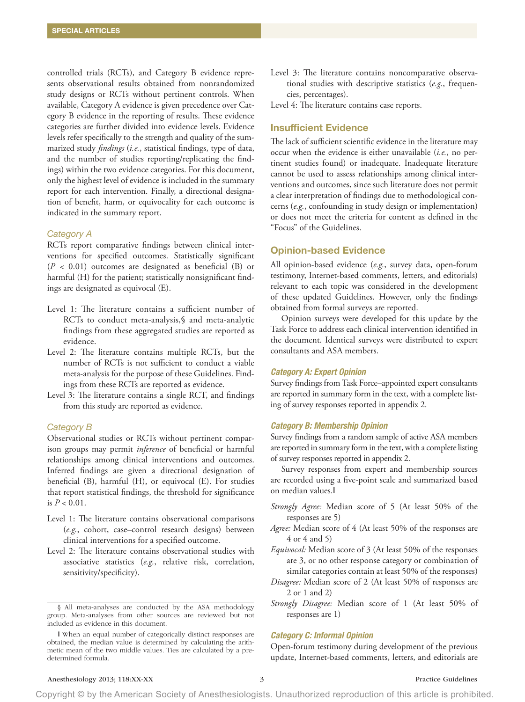controlled trials (RCTs), and Category B evidence represents observational results obtained from nonrandomized study designs or RCTs without pertinent controls. When available, Category A evidence is given precedence over Category B evidence in the reporting of results. These evidence categories are further divided into evidence levels. Evidence levels refer specifically to the strength and quality of the summarized study *findings* (*i.e.*, statistical findings, type of data, and the number of studies reporting/replicating the findings) within the two evidence categories. For this document, only the highest level of evidence is included in the summary report for each intervention. Finally, a directional designation of benefit, harm, or equivocality for each outcome is indicated in the summary report.

#### *Category A*

RCTs report comparative findings between clinical interventions for specified outcomes. Statistically significant (*P <* 0.01) outcomes are designated as beneficial (B) or harmful (H) for the patient; statistically nonsignificant findings are designated as equivocal (E).

- Level 1: The literature contains a sufficient number of RCTs to conduct meta-analysis,§ and meta-analytic findings from these aggregated studies are reported as evidence.
- Level 2: The literature contains multiple RCTs, but the number of RCTs is not sufficient to conduct a viable meta-analysis for the purpose of these Guidelines. Findings from these RCTs are reported as evidence.
- Level 3: The literature contains a single RCT, and findings from this study are reported as evidence.

#### *Category B*

Observational studies or RCTs without pertinent comparison groups may permit *inference* of beneficial or harmful relationships among clinical interventions and outcomes. Inferred findings are given a directional designation of beneficial (B), harmful (H), or equivocal (E). For studies that report statistical findings, the threshold for significance is *P* < 0.01.

- Level 1: The literature contains observational comparisons (*e.g.*, cohort, case–control research designs) between clinical interventions for a specified outcome.
- Level 2: The literature contains observational studies with associative statistics (*e.g.*, relative risk, correlation, sensitivity/specificity).

Level 3: The literature contains noncomparative observational studies with descriptive statistics (*e.g.*, frequencies, percentages).

Level 4: The literature contains case reports.

# Insufficient Evidence

The lack of sufficient scientific evidence in the literature may occur when the evidence is either unavailable (*i.e.*, no pertinent studies found) or inadequate. Inadequate literature cannot be used to assess relationships among clinical interventions and outcomes, since such literature does not permit a clear interpretation of findings due to methodological concerns (*e.g.*, confounding in study design or implementation) or does not meet the criteria for content as defined in the "Focus" of the Guidelines.

# Opinion-based Evidence

All opinion-based evidence (*e.g.*, survey data, open-forum testimony, Internet-based comments, letters, and editorials) relevant to each topic was considered in the development of these updated Guidelines. However, only the findings obtained from formal surveys are reported.

Opinion surveys were developed for this update by the Task Force to address each clinical intervention identified in the document. Identical surveys were distributed to expert consultants and ASA members.

#### *Category A: Expert Opinion*

Survey findings from Task Force–appointed expert consultants are reported in summary form in the text, with a complete listing of survey responses reported in appendix 2.

#### *Category B: Membership Opinion*

Survey findings from a random sample of active ASA members are reported in summary form in the text, with a complete listing of survey responses reported in appendix 2.

Survey responses from expert and membership sources are recorded using a five-point scale and summarized based on median values.‖

- *Strongly Agree:* Median score of 5 (At least 50% of the responses are 5)
- *Agree:* Median score of 4 (At least 50% of the responses are 4 or 4 and 5)

*Equivocal:* Median score of 3 (At least 50% of the responses are 3, or no other response category or combination of similar categories contain at least 50% of the responses)

- *Disagree:* Median score of 2 (At least 50% of responses are 2 or 1 and 2)
- *Strongly Disagree:* Median score of 1 (At least 50% of responses are 1)

#### *Category C: Informal Opinion*

Open-forum testimony during development of the previous update, Internet-based comments, letters, and editorials are

<sup>§</sup> All meta-analyses are conducted by the ASA methodology group. Meta-analyses from other sources are reviewed but not included as evidence in this document.

<sup>‖</sup> When an equal number of categorically distinct responses are obtained, the median value is determined by calculating the arithmetic mean of the two middle values. Ties are calculated by a predetermined formula.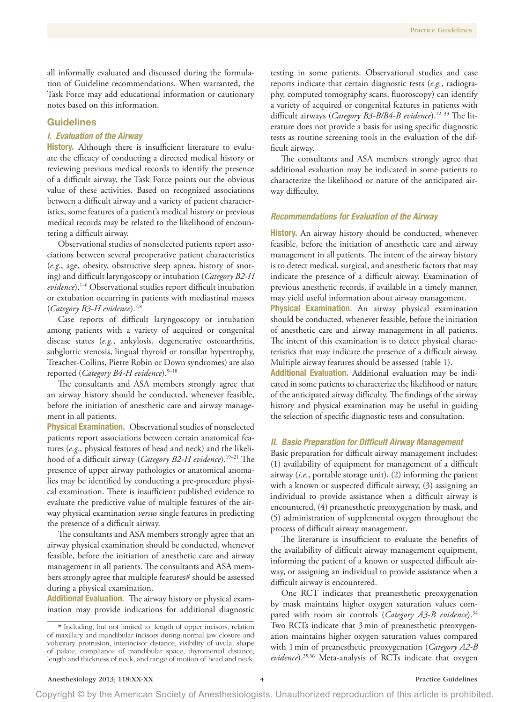all informally evaluated and discussed during the formulation of Guideline recommendations. When warranted, the Task Force may add educational information or cautionary notes based on this information.

# **Guidelines**

# *I. Evaluation of the Airway*

History. Although there is insufficient literature to evaluate the efficacy of conducting a directed medical history or reviewing previous medical records to identify the presence of a difficult airway, the Task Force points out the obvious value of these activities. Based on recognized associations between a difficult airway and a variety of patient characteristics, some features of a patient's medical history or previous medical records may be related to the likelihood of encountering a difficult airway.

Observational studies of nonselected patients report associations between several preoperative patient characteristics (*e.g.*, age, obesity, obstructive sleep apnea, history of snoring) and difficult laryngoscopy or intubation (*Category B2-H evidence*).1–6 Observational studies report difficult intubation or extubation occurring in patients with mediastinal masses (*Category B3-H evidence*).7,8

Case reports of difficult laryngoscopy or intubation among patients with a variety of acquired or congenital disease states (*e.g.*, ankylosis, degenerative osteoarthritis, subglottic stenosis, lingual thyroid or tonsillar hypertrophy, Treacher-Collins, Pierre Robin or Down syndromes) are also reported (Category B4-H evidence).<sup>9-18</sup>

The consultants and ASA members strongly agree that an airway history should be conducted, whenever feasible, before the initiation of anesthetic care and airway management in all patients.

Physical Examination. Observational studies of nonselected patients report associations between certain anatomical features (*e.g.*, physical features of head and neck) and the likelihood of a difficult airway (*Category B2-H evidence*).19–21 The presence of upper airway pathologies or anatomical anomalies may be identified by conducting a pre-procedure physical examination. There is insufficient published evidence to evaluate the predictive value of multiple features of the airway physical examination *versus* single features in predicting the presence of a difficult airway.

The consultants and ASA members strongly agree that an airway physical examination should be conducted, whenever feasible, before the initiation of anesthetic care and airway management in all patients. The consultants and ASA members strongly agree that multiple features# should be assessed during a physical examination.

Additional Evaluation. The airway history or physical examination may provide indications for additional diagnostic

testing in some patients. Observational studies and case reports indicate that certain diagnostic tests (*e.g.*, radiography, computed tomography scans, fluoroscopy) can identify a variety of acquired or congenital features in patients with difficult airways (*Category B3-B/B4-B evidence*).22–33 The literature does not provide a basis for using specific diagnostic tests as routine screening tools in the evaluation of the difficult airway.

The consultants and ASA members strongly agree that additional evaluation may be indicated in some patients to characterize the likelihood or nature of the anticipated airway difficulty.

#### *Recommendations for Evaluation of the Airway*

History. An airway history should be conducted, whenever feasible, before the initiation of anesthetic care and airway management in all patients. The intent of the airway history is to detect medical, surgical, and anesthetic factors that may indicate the presence of a difficult airway. Examination of previous anesthetic records, if available in a timely manner, may yield useful information about airway management.

Physical Examination. An airway physical examination should be conducted, whenever feasible, before the initiation of anesthetic care and airway management in all patients. The intent of this examination is to detect physical characteristics that may indicate the presence of a difficult airway. Multiple airway features should be assessed (table 1).

Additional Evaluation. Additional evaluation may be indicated in some patients to characterize the likelihood or nature of the anticipated airway difficulty. The findings of the airway history and physical examination may be useful in guiding the selection of specific diagnostic tests and consultation.

#### *II. Basic Preparation for Difficult Airway Management*

Basic preparation for difficult airway management includes: (1) availability of equipment for management of a difficult airway (*i.e.*, portable storage unit), (2) informing the patient with a known or suspected difficult airway, (3) assigning an individual to provide assistance when a difficult airway is encountered, (4) preanesthetic preoxygenation by mask, and (5) administration of supplemental oxygen throughout the process of difficult airway management.

The literature is insufficient to evaluate the benefits of the availability of difficult airway management equipment, informing the patient of a known or suspected difficult airway, or assigning an individual to provide assistance when a difficult airway is encountered.

One RCT indicates that preanesthetic preoxygenation by mask maintains higher oxygen saturation values compared with room air controls (*Category A3-B evidence*).<sup>34</sup> Two RCTs indicate that 3min of preanesthetic preoxygenation maintains higher oxygen saturation values compared with 1min of preanesthetic preoxygenation (*Category A2-B evidence*).35,36 Meta-analysis of RCTs indicate that oxygen

<sup>#</sup> Including, but not limited to: length of upper incisors, relation of maxillary and mandibular incisors during normal jaw closure and voluntary protrusion, interincisor distance, visibility of uvula, shape of palate, compliance of mandibular space, thyromental distance, length and thickness of neck, and range of motion of head and neck.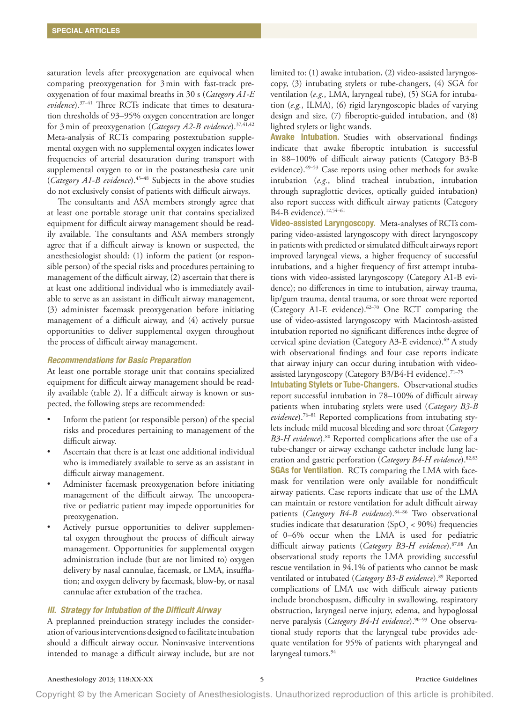saturation levels after preoxygenation are equivocal when comparing preoxygenation for 3min with fast-track preoxygenation of four maximal breaths in 30 s (*Category A1-E evidence*).37–41 Three RCTs indicate that times to desaturation thresholds of 93–95% oxygen concentration are longer for 3min of preoxygenation (*Category A2-B evidence*).37,41,42 Meta-analysis of RCTs comparing postextubation supplemental oxygen with no supplemental oxygen indicates lower frequencies of arterial desaturation during transport with supplemental oxygen to or in the postanesthesia care unit (*Category A1-B evidence*).43–48 Subjects in the above studies do not exclusively consist of patients with difficult airways.

The consultants and ASA members strongly agree that at least one portable storage unit that contains specialized equipment for difficult airway management should be readily available. The consultants and ASA members strongly agree that if a difficult airway is known or suspected, the anesthesiologist should: (1) inform the patient (or responsible person) of the special risks and procedures pertaining to management of the difficult airway, (2) ascertain that there is at least one additional individual who is immediately available to serve as an assistant in difficult airway management, (3) administer facemask preoxygenation before initiating management of a difficult airway, and (4) actively pursue opportunities to deliver supplemental oxygen throughout the process of difficult airway management.

#### *Recommendations for Basic Preparation*

At least one portable storage unit that contains specialized equipment for difficult airway management should be readily available (table 2). If a difficult airway is known or suspected, the following steps are recommended:

- Inform the patient (or responsible person) of the special risks and procedures pertaining to management of the difficult airway.
- Ascertain that there is at least one additional individual who is immediately available to serve as an assistant in difficult airway management.
- Administer facemask preoxygenation before initiating management of the difficult airway. The uncooperative or pediatric patient may impede opportunities for preoxygenation.
- Actively pursue opportunities to deliver supplemental oxygen throughout the process of difficult airway management. Opportunities for supplemental oxygen administration include (but are not limited to) oxygen delivery by nasal cannulae, facemask, or LMA, insufflation; and oxygen delivery by facemask, blow-by, or nasal cannulae after extubation of the trachea.

### *III. Strategy for Intubation of the Difficult Airway*

A preplanned preinduction strategy includes the consideration of various interventions designed to facilitate intubation should a difficult airway occur. Noninvasive interventions intended to manage a difficult airway include, but are not limited to: (1) awake intubation, (2) video-assisted laryngoscopy, (3) intubating stylets or tube-changers, (4) SGA for ventilation (*e.g.*, LMA, laryngeal tube), (5) SGA for intubation (*e.g.*, ILMA), (6) rigid laryngoscopic blades of varying design and size, (7) fiberoptic-guided intubation, and (8) lighted stylets or light wands.

Awake Intubation. Studies with observational findings indicate that awake fiberoptic intubation is successful in 88–100% of difficult airway patients (Category B3-B evidence).49–53 Case reports using other methods for awake intubation (*e.g.*, blind tracheal intubation, intubation through supraglottic devices, optically guided intubation) also report success with difficult airway patients (Category B4-B evidence).12,54–61

Video-assisted Laryngoscopy. Meta-analyses of RCTs comparing video-assisted laryngoscopy with direct laryngoscopy in patients with predicted or simulated difficult airways report improved laryngeal views, a higher frequency of successful intubations, and a higher frequency of first attempt intubations with video-assisted laryngoscopy (Category A1-B evidence); no differences in time to intubation, airway trauma, lip/gum trauma, dental trauma, or sore throat were reported (Category A1-E evidence).62–70 One RCT comparing the use of video-assisted laryngoscopy with Macintosh-assisted intubation reported no significant differences inthe degree of cervical spine deviation (Category A3-E evidence).<sup>69</sup> A study with observational findings and four case reports indicate that airway injury can occur during intubation with videoassisted laryngoscopy (Category B3/B4-H evidence).<sup>71-75</sup>

Intubating Stylets or Tube-Changers. Observational studies report successful intubation in 78–100% of difficult airway patients when intubating stylets were used (*Category B3-B evidence*).76–81 Reported complications from intubating stylets include mild mucosal bleeding and sore throat (*Category B3-H evidence*).80 Reported complications after the use of a tube-changer or airway exchange catheter include lung laceration and gastric perforation (*Category B4-H evidence*).82,83 **SGAs for Ventilation.** RCTs comparing the LMA with facemask for ventilation were only available for nondifficult airway patients. Case reports indicate that use of the LMA can maintain or restore ventilation for adult difficult airway patients (Category B4-B evidence).<sup>84-86</sup> Two observational studies indicate that desaturation (SpO<sub>2</sub> < 90%) frequencies of 0–6% occur when the LMA is used for pediatric difficult airway patients (*Category B3-H evidence*).87,88 An observational study reports the LMA providing successful rescue ventilation in 94.1% of patients who cannot be mask ventilated or intubated (Category B3-B evidence).<sup>89</sup> Reported complications of LMA use with difficult airway patients include bronchospasm, difficulty in swallowing, respiratory obstruction, laryngeal nerve injury, edema, and hypoglossal nerve paralysis (*Category B4-H evidence*).90–93 One observational study reports that the laryngeal tube provides adequate ventilation for 95% of patients with pharyngeal and laryngeal tumors.<sup>94</sup>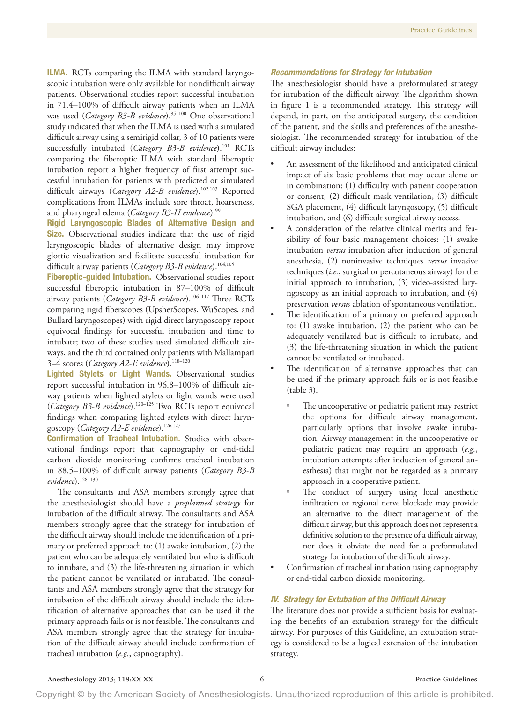ILMA. RCTs comparing the ILMA with standard laryngoscopic intubation were only available for nondifficult airway patients. Observational studies report successful intubation in 71.4–100% of difficult airway patients when an ILMA was used (Category B3-B evidence).<sup>95-100</sup> One observational study indicated that when the ILMA is used with a simulated difficult airway using a semirigid collar, 3 of 10 patients were successfully intubated (Category B3-B evidence).<sup>101</sup> RCTs comparing the fiberoptic ILMA with standard fiberoptic intubation report a higher frequency of first attempt successful intubation for patients with predicted or simulated difficult airways (*Category A2-B evidence*).102,103 Reported complications from ILMAs include sore throat, hoarseness, and pharyngeal edema (*Category B3-H evidence*).99

Rigid Laryngoscopic Blades of Alternative Design and Size. Observational studies indicate that the use of rigid laryngoscopic blades of alternative design may improve glottic visualization and facilitate successful intubation for difficult airway patients (*Category B3-B evidence*).104,105

Fiberoptic-guided Intubation. Observational studies report successful fiberoptic intubation in 87–100% of difficult airway patients (Category B3-B evidence).<sup>106-117</sup> Three RCTs comparing rigid fiberscopes (UpsherScopes, WuScopes, and Bullard laryngoscopes) with rigid direct laryngoscopy report equivocal findings for successful intubation and time to intubate; two of these studies used simulated difficult airways, and the third contained only patients with Mallampati 3–4 scores (*Category A2-E evidence*).118–120

Lighted Stylets or Light Wands. Observational studies report successful intubation in 96.8–100% of difficult airway patients when lighted stylets or light wands were used (*Category B3-B evidence*).120–125 Two RCTs report equivocal findings when comparing lighted stylets with direct laryngoscopy (*Category A2-E evidence*).126,127

Confirmation of Tracheal Intubation. Studies with observational findings report that capnography or end-tidal carbon dioxide monitoring confirms tracheal intubation in 88.5–100% of difficult airway patients (*Category B3-B evidence*).128–130

The consultants and ASA members strongly agree that the anesthesiologist should have a *preplanned strategy* for intubation of the difficult airway. The consultants and ASA members strongly agree that the strategy for intubation of the difficult airway should include the identification of a primary or preferred approach to: (1) awake intubation, (2) the patient who can be adequately ventilated but who is difficult to intubate, and (3) the life-threatening situation in which the patient cannot be ventilated or intubated. The consultants and ASA members strongly agree that the strategy for intubation of the difficult airway should include the identification of alternative approaches that can be used if the primary approach fails or is not feasible. The consultants and ASA members strongly agree that the strategy for intubation of the difficult airway should include confirmation of tracheal intubation (*e.g.*, capnography).

### *Recommendations for Strategy for Intubation*

The anesthesiologist should have a preformulated strategy for intubation of the difficult airway. The algorithm shown in figure 1 is a recommended strategy. This strategy will depend, in part, on the anticipated surgery, the condition of the patient, and the skills and preferences of the anesthesiologist. The recommended strategy for intubation of the difficult airway includes:

- An assessment of the likelihood and anticipated clinical impact of six basic problems that may occur alone or in combination: (1) difficulty with patient cooperation or consent, (2) difficult mask ventilation, (3) difficult SGA placement, (4) difficult laryngoscopy, (5) difficult intubation, and (6) difficult surgical airway access.
- A consideration of the relative clinical merits and feasibility of four basic management choices: (1) awake intubation *versus* intubation after induction of general anesthesia, (2) noninvasive techniques *versus* invasive techniques (*i.e.*, surgical or percutaneous airway) for the initial approach to intubation, (3) video-assisted laryngoscopy as an initial approach to intubation, and (4) preservation *versus* ablation of spontaneous ventilation.
- The identification of a primary or preferred approach to: (1) awake intubation, (2) the patient who can be adequately ventilated but is difficult to intubate, and (3) the life-threatening situation in which the patient cannot be ventilated or intubated.
- The identification of alternative approaches that can be used if the primary approach fails or is not feasible (table 3).
	- The uncooperative or pediatric patient may restrict the options for difficult airway management, particularly options that involve awake intubation. Airway management in the uncooperative or pediatric patient may require an approach (*e.g.*, intubation attempts after induction of general anesthesia) that might not be regarded as a primary approach in a cooperative patient.
	- The conduct of surgery using local anesthetic infiltration or regional nerve blockade may provide an alternative to the direct management of the difficult airway, but this approach does not represent a definitive solution to the presence of a difficult airway, nor does it obviate the need for a preformulated strategy for intubation of the difficult airway.
- Confirmation of tracheal intubation using capnography or end-tidal carbon dioxide monitoring.

#### *IV. Strategy for Extubation of the Difficult Airway*

The literature does not provide a sufficient basis for evaluating the benefits of an extubation strategy for the difficult airway. For purposes of this Guideline, an extubation strategy is considered to be a logical extension of the intubation strategy.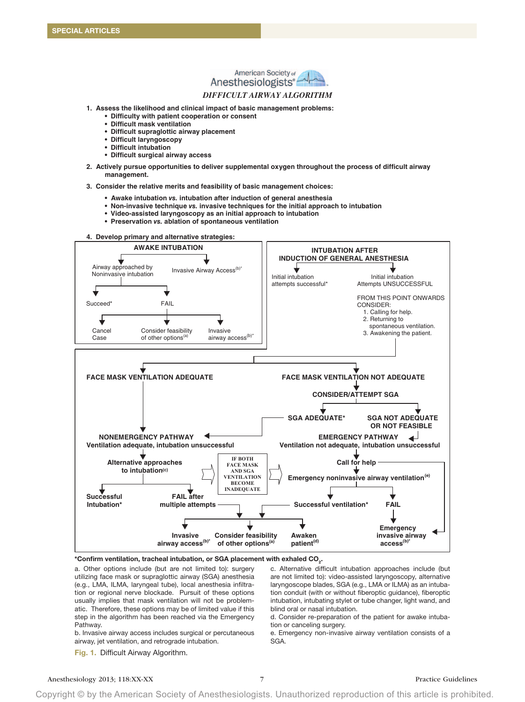

#### *DIFFICULT AIRWAY ALGORITHM*

- **1. Assess the likelihood and clinical impact of basic management problems:**
	- **Difficulty with patient cooperation or consent**
	- **Difficult mask ventilation**
	- **Difficult supraglottic airway placement**
	- **Difficult laryngoscopy**
	- **Difficult intubation**
	- **Difficult surgical airway access**
- **2. Actively pursue opportunities to deliver supplemental oxygen throughout the process of difficult airway management.**
- **3. Consider the relative merits and feasibility of basic management choices:**
	- **Awake intubation** *vs.* **intubation after induction of general anesthesia**
	- **Non-invasive technique** *vs.* **invasive techniques for the initial approach to intubation**
	- **Video-assisted laryngoscopy as an initial approach to intubation**
	- **Preservation** *vs.* **ablation of spontaneous ventilation**



#### \*Confirm ventilation, tracheal intubation, or SGA placement with exhaled CO<sub>2</sub>.

a. Other options include (but are not limited to): surgery utilizing face mask or supraglottic airway (SGA) anesthesia (e.g., LMA, ILMA, laryngeal tube), local anesthesia infiltration or regional nerve blockade. Pursuit of these options usually implies that mask ventilation will not be problematic. Therefore, these options may be of limited value if this step in the algorithm has been reached via the Emergency Pathway.

b. Invasive airway access includes surgical or percutaneous airway, jet ventilation, and retrograde intubation.

Fig. 1. Difficult Airway Algorithm.

c. Alternative difficult intubation approaches include (but are not limited to): video-assisted laryngoscopy, alternative laryngoscope blades, SGA (e.g., LMA or ILMA) as an intubation conduit (with or without fiberoptic guidance), fiberoptic intubation, intubating stylet or tube changer, light wand, and blind oral or nasal intubation.

d. Consider re-preparation of the patient for awake intubation or canceling surgery.

e. Emergency non-invasive airway ventilation consists of a SGA.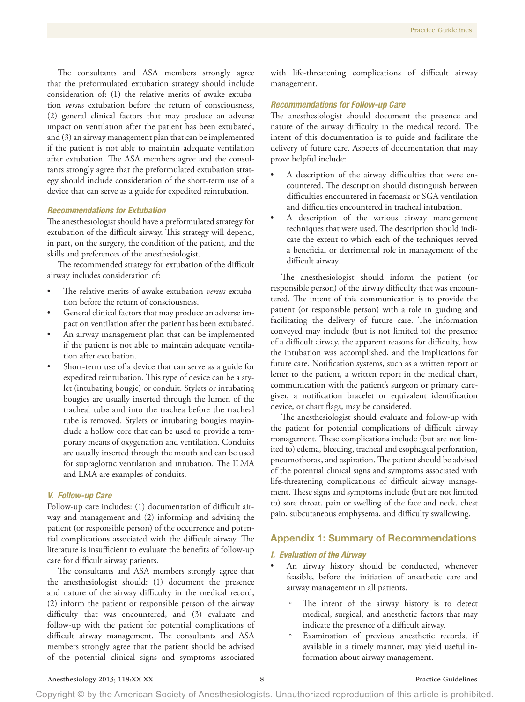The consultants and ASA members strongly agree that the preformulated extubation strategy should include consideration of: (1) the relative merits of awake extubation *versus* extubation before the return of consciousness, (2) general clinical factors that may produce an adverse impact on ventilation after the patient has been extubated, and (3) an airway management plan that can be implemented if the patient is not able to maintain adequate ventilation after extubation. The ASA members agree and the consultants strongly agree that the preformulated extubation strategy should include consideration of the short-term use of a device that can serve as a guide for expedited reintubation.

## *Recommendations for Extubation*

The anesthesiologist should have a preformulated strategy for extubation of the difficult airway. This strategy will depend, in part, on the surgery, the condition of the patient, and the skills and preferences of the anesthesiologist.

The recommended strategy for extubation of the difficult airway includes consideration of:

- The relative merits of awake extubation *versus* extubation before the return of consciousness.
- General clinical factors that may produce an adverse impact on ventilation after the patient has been extubated.
- An airway management plan that can be implemented if the patient is not able to maintain adequate ventilation after extubation.
- Short-term use of a device that can serve as a guide for expedited reintubation. This type of device can be a stylet (intubating bougie) or conduit. Stylets or intubating bougies are usually inserted through the lumen of the tracheal tube and into the trachea before the tracheal tube is removed. Stylets or intubating bougies mayinclude a hollow core that can be used to provide a temporary means of oxygenation and ventilation. Conduits are usually inserted through the mouth and can be used for supraglottic ventilation and intubation. The ILMA and LMA are examples of conduits.

# *V. Follow-up Care*

Follow-up care includes: (1) documentation of difficult airway and management and (2) informing and advising the patient (or responsible person) of the occurrence and potential complications associated with the difficult airway. The literature is insufficient to evaluate the benefits of follow-up care for difficult airway patients.

The consultants and ASA members strongly agree that the anesthesiologist should: (1) document the presence and nature of the airway difficulty in the medical record, (2) inform the patient or responsible person of the airway difficulty that was encountered, and (3) evaluate and follow-up with the patient for potential complications of difficult airway management. The consultants and ASA members strongly agree that the patient should be advised of the potential clinical signs and symptoms associated

with life-threatening complications of difficult airway management.

#### *Recommendations for Follow-up Care*

The anesthesiologist should document the presence and nature of the airway difficulty in the medical record. The intent of this documentation is to guide and facilitate the delivery of future care. Aspects of documentation that may prove helpful include:

- A description of the airway difficulties that were encountered. The description should distinguish between difficulties encountered in facemask or SGA ventilation and difficulties encountered in tracheal intubation.
- A description of the various airway management techniques that were used. The description should indicate the extent to which each of the techniques served a beneficial or detrimental role in management of the difficult airway.

The anesthesiologist should inform the patient (or responsible person) of the airway difficulty that was encountered. The intent of this communication is to provide the patient (or responsible person) with a role in guiding and facilitating the delivery of future care. The information conveyed may include (but is not limited to) the presence of a difficult airway, the apparent reasons for difficulty, how the intubation was accomplished, and the implications for future care. Notification systems, such as a written report or letter to the patient, a written report in the medical chart, communication with the patient's surgeon or primary caregiver, a notification bracelet or equivalent identification device, or chart flags, may be considered.

The anesthesiologist should evaluate and follow-up with the patient for potential complications of difficult airway management. These complications include (but are not limited to) edema, bleeding, tracheal and esophageal perforation, pneumothorax, and aspiration. The patient should be advised of the potential clinical signs and symptoms associated with life-threatening complications of difficult airway management. These signs and symptoms include (but are not limited to) sore throat, pain or swelling of the face and neck, chest pain, subcutaneous emphysema, and difficulty swallowing.

### Appendix 1: Summary of Recommendations

#### *I. Evaluation of the Airway*

- An airway history should be conducted, whenever feasible, before the initiation of anesthetic care and airway management in all patients.
	- The intent of the airway history is to detect medical, surgical, and anesthetic factors that may indicate the presence of a difficult airway.
	- Examination of previous anesthetic records, if available in a timely manner, may yield useful information about airway management.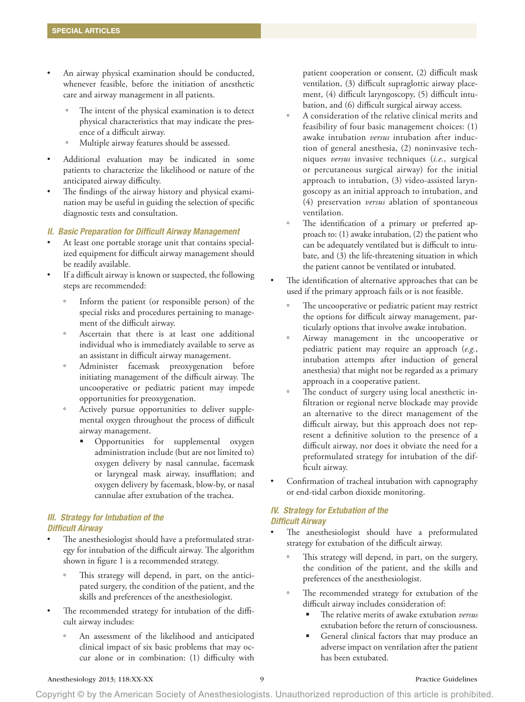- An airway physical examination should be conducted, whenever feasible, before the initiation of anesthetic care and airway management in all patients.
	- The intent of the physical examination is to detect physical characteristics that may indicate the presence of a difficult airway.
	- Multiple airway features should be assessed.
- Additional evaluation may be indicated in some patients to characterize the likelihood or nature of the anticipated airway difficulty.
- The findings of the airway history and physical examination may be useful in guiding the selection of specific diagnostic tests and consultation.

### *II. Basic Preparation for Difficult Airway Management*

- At least one portable storage unit that contains specialized equipment for difficult airway management should be readily available.
- If a difficult airway is known or suspected, the following steps are recommended:
	- Inform the patient (or responsible person) of the special risks and procedures pertaining to management of the difficult airway.
	- Ascertain that there is at least one additional individual who is immediately available to serve as an assistant in difficult airway management.
	- ◦ Administer facemask preoxygenation before initiating management of the difficult airway. The uncooperative or pediatric patient may impede opportunities for preoxygenation.
	- Actively pursue opportunities to deliver supplemental oxygen throughout the process of difficult airway management.
		- Opportunities for supplemental oxygen administration include (but are not limited to) oxygen delivery by nasal cannulae, facemask or laryngeal mask airway, insufflation; and oxygen delivery by facemask, blow-by, or nasal cannulae after extubation of the trachea.

# *III. Strategy for Intubation of the Difficult Airway*

- The anesthesiologist should have a preformulated strategy for intubation of the difficult airway. The algorithm shown in figure 1 is a recommended strategy.
	- This strategy will depend, in part, on the anticipated surgery, the condition of the patient, and the skills and preferences of the anesthesiologist.
- The recommended strategy for intubation of the difficult airway includes:
	- An assessment of the likelihood and anticipated clinical impact of six basic problems that may occur alone or in combination: (1) difficulty with

patient cooperation or consent, (2) difficult mask ventilation, (3) difficult supraglottic airway placement, (4) difficult laryngoscopy, (5) difficult intubation, and (6) difficult surgical airway access.

- A consideration of the relative clinical merits and feasibility of four basic management choices: (1) awake intubation *versus* intubation after induction of general anesthesia, (2) noninvasive techniques *versus* invasive techniques (*i.e.*, surgical or percutaneous surgical airway) for the initial approach to intubation, (3) video-assisted laryngoscopy as an initial approach to intubation, and (4) preservation *versus* ablation of spontaneous ventilation.
- The identification of a primary or preferred approach to: (1) awake intubation, (2) the patient who can be adequately ventilated but is difficult to intubate, and (3) the life-threatening situation in which the patient cannot be ventilated or intubated.
- The identification of alternative approaches that can be used if the primary approach fails or is not feasible.
	- ◦ The uncooperative or pediatric patient may restrict the options for difficult airway management, particularly options that involve awake intubation.
	- Airway management in the uncooperative or pediatric patient may require an approach (*e.g.*, intubation attempts after induction of general anesthesia) that might not be regarded as a primary approach in a cooperative patient.
	- ◦ The conduct of surgery using local anesthetic infiltration or regional nerve blockade may provide an alternative to the direct management of the difficult airway, but this approach does not represent a definitive solution to the presence of a difficult airway, nor does it obviate the need for a preformulated strategy for intubation of the difficult airway.
- Confirmation of tracheal intubation with capnography or end-tidal carbon dioxide monitoring.

# *IV. Strategy for Extubation of the Difficult Airway*

- The anesthesiologist should have a preformulated strategy for extubation of the difficult airway.
	- This strategy will depend, in part, on the surgery, the condition of the patient, and the skills and preferences of the anesthesiologist.
	- The recommended strategy for extubation of the difficult airway includes consideration of:
		- The relative merits of awake extubation *versus* extubation before the return of consciousness.
		- General clinical factors that may produce an adverse impact on ventilation after the patient has been extubated.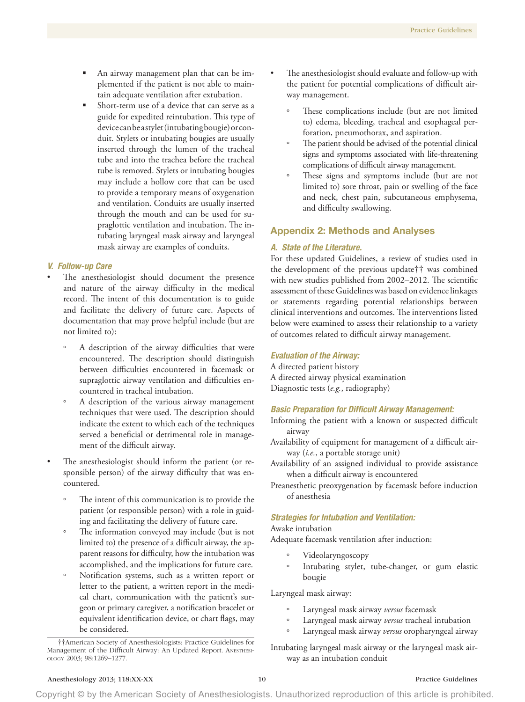- An airway management plan that can be implemented if the patient is not able to maintain adequate ventilation after extubation.
- Short-term use of a device that can serve as a guide for expedited reintubation. This type of device can be a stylet (intubating bougie) or conduit. Stylets or intubating bougies are usually inserted through the lumen of the tracheal tube and into the trachea before the tracheal tube is removed. Stylets or intubating bougies may include a hollow core that can be used to provide a temporary means of oxygenation and ventilation. Conduits are usually inserted through the mouth and can be used for supraglottic ventilation and intubation. The intubating laryngeal mask airway and laryngeal mask airway are examples of conduits.

#### *V. Follow-up Care*

- The anesthesiologist should document the presence and nature of the airway difficulty in the medical record. The intent of this documentation is to guide and facilitate the delivery of future care. Aspects of documentation that may prove helpful include (but are not limited to):
	- A description of the airway difficulties that were encountered. The description should distinguish between difficulties encountered in facemask or supraglottic airway ventilation and difficulties encountered in tracheal intubation.
	- A description of the various airway management techniques that were used. The description should indicate the extent to which each of the techniques served a beneficial or detrimental role in management of the difficult airway.
- The anesthesiologist should inform the patient (or responsible person) of the airway difficulty that was encountered.
	- The intent of this communication is to provide the patient (or responsible person) with a role in guiding and facilitating the delivery of future care.
	- ◦ The information conveyed may include (but is not limited to) the presence of a difficult airway, the apparent reasons for difficulty, how the intubation was accomplished, and the implications for future care.
	- Notification systems, such as a written report or letter to the patient, a written report in the medical chart, communication with the patient's surgeon or primary caregiver, a notification bracelet or equivalent identification device, or chart flags, may be considered.
- The anesthesiologist should evaluate and follow-up with the patient for potential complications of difficult airway management.
	- These complications include (but are not limited to) edema, bleeding, tracheal and esophageal perforation, pneumothorax, and aspiration.
	- The patient should be advised of the potential clinical signs and symptoms associated with life-threatening complications of difficult airway management.
	- These signs and symptoms include (but are not limited to) sore throat, pain or swelling of the face and neck, chest pain, subcutaneous emphysema, and difficulty swallowing.

# Appendix 2: Methods and Analyses

# *A. State of the Literature.*

For these updated Guidelines, a review of studies used in the development of the previous update†† was combined with new studies published from 2002–2012. The scientific assessment of these Guidelines was based on evidence linkages or statements regarding potential relationships between clinical interventions and outcomes. The interventions listed below were examined to assess their relationship to a variety of outcomes related to difficult airway management.

#### *Evaluation of the Airway:*

A directed patient history A directed airway physical examination Diagnostic tests (*e.g.*, radiography)

# *Basic Preparation for Difficult Airway Management:*

- Informing the patient with a known or suspected difficult airway
- Availability of equipment for management of a difficult airway (*i.e.*, a portable storage unit)
- Availability of an assigned individual to provide assistance when a difficult airway is encountered
- Preanesthetic preoxygenation by facemask before induction of anesthesia

#### *Strategies for Intubation and Ventilation:*

# Awake intubation

Adequate facemask ventilation after induction:

- Videolaryngoscopy
- ◦ Intubating stylet, tube-changer, or gum elastic bougie

Laryngeal mask airway:

- ◦ Laryngeal mask airway *versus* facemask
- Laryngeal mask airway *versus* tracheal intubation
- Laryngeal mask airway versus oropharyngeal airway
- Intubating laryngeal mask airway or the laryngeal mask airway as an intubation conduit

<sup>††</sup>American Society of Anesthesiologists: Practice Guidelines for Management of the Difficult Airway: An Updated Report. Anesthesiology 2003; 98:1269–1277.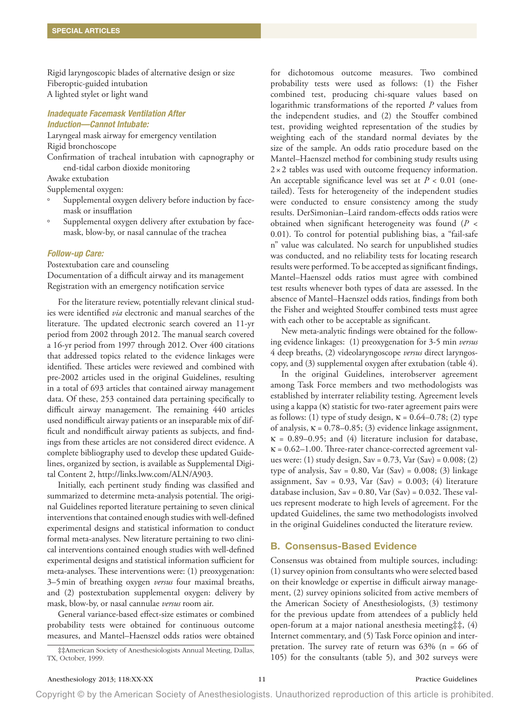Rigid laryngoscopic blades of alternative design or size Fiberoptic-guided intubation A lighted stylet or light wand

# *Inadequate Facemask Ventilation After Induction—Cannot Intubate:*

Laryngeal mask airway for emergency ventilation Rigid bronchoscope

Confirmation of tracheal intubation with capnography or end-tidal carbon dioxide monitoring

Awake extubation

Supplemental oxygen:

- Supplemental oxygen delivery before induction by facemask or insufflation
- Supplemental oxygen delivery after extubation by facemask, blow-by, or nasal cannulae of the trachea

#### *Follow-up Care:*

Postextubation care and counseling Documentation of a difficult airway and its management Registration with an emergency notification service

For the literature review, potentially relevant clinical studies were identified *via* electronic and manual searches of the literature. The updated electronic search covered an 11-yr period from 2002 through 2012. The manual search covered a 16-yr period from 1997 through 2012. Over 400 citations that addressed topics related to the evidence linkages were identified. These articles were reviewed and combined with pre-2002 articles used in the original Guidelines, resulting in a total of 693 articles that contained airway management data. Of these, 253 contained data pertaining specifically to difficult airway management. The remaining 440 articles used nondifficult airway patients or an inseparable mix of difficult and nondifficult airway patients as subjects, and findings from these articles are not considered direct evidence. A complete bibliography used to develop these updated Guidelines, organized by section, is available as Supplemental Digital Content 2, http://links.lww.com/ALN/A90[3.](http://links.lww.com)

Initially, each pertinent study finding was classified and summarized to determine meta-analysis potential. The original Guidelines reported literature pertaining to seven clinical interventions that contained enough studies with well-defined experimental designs and statistical information to conduct formal meta-analyses. New literature pertaining to two clinical interventions contained enough studies with well-defined experimental designs and statistical information sufficient for meta-analyses. These interventions were: (1) preoxygenation: 3–5min of breathing oxygen *versus* four maximal breaths, and (2) postextubation supplemental oxygen: delivery by mask, blow-by, or nasal cannulae *versus* room air.

General variance-based effect-size estimates or combined probability tests were obtained for continuous outcome measures, and Mantel–Haenszel odds ratios were obtained

for dichotomous outcome measures. Two combined probability tests were used as follows: (1) the Fisher combined test, producing chi-square values based on logarithmic transformations of the reported *P* values from the independent studies, and (2) the Stouffer combined test, providing weighted representation of the studies by weighting each of the standard normal deviates by the size of the sample. An odds ratio procedure based on the Mantel–Haenszel method for combining study results using  $2\times 2$  tables was used with outcome frequency information. An acceptable significance level was set at  $P < 0.01$  (onetailed). Tests for heterogeneity of the independent studies were conducted to ensure consistency among the study results. DerSimonian–Laird random-effects odds ratios were obtained when significant heterogeneity was found (*P <* 0.01). To control for potential publishing bias, a "fail-safe n" value was calculated. No search for unpublished studies was conducted, and no reliability tests for locating research results were performed. To be accepted as significant findings, Mantel–Haenszel odds ratios must agree with combined test results whenever both types of data are assessed. In the absence of Mantel–Haenszel odds ratios, findings from both the Fisher and weighted Stouffer combined tests must agree with each other to be acceptable as significant.

New meta-analytic findings were obtained for the following evidence linkages: (1) preoxygenation for 3-5 min *versus* 4 deep breaths, (2) videolaryngoscope *versus* direct laryngoscopy, and (3) supplemental oxygen after extubation (table 4).

In the original Guidelines, interobserver agreement among Task Force members and two methodologists was established by interrater reliability testing. Agreement levels using a kappa (κ) statistic for two-rater agreement pairs were as follows: (1) type of study design,  $\kappa = 0.64 - 0.78$ ; (2) type of analysis,  $\kappa = 0.78 - 0.85$ ; (3) evidence linkage assignment,  $\kappa$  = 0.89–0.95; and (4) literature inclusion for database,  $\kappa = 0.62 - 1.00$ . Three-rater chance-corrected agreement values were: (1) study design, Sav = 0.73, Var (Sav) = 0.008; (2) type of analysis,  $Sav = 0.80$ ,  $Var(Sav) = 0.008$ ; (3) linkage assignment, Sav =  $0.93$ , Var (Sav) =  $0.003$ ; (4) literature database inclusion, Sav =  $0.80$ , Var (Sav) =  $0.032$ . These values represent moderate to high levels of agreement. For the updated Guidelines, the same two methodologists involved in the original Guidelines conducted the literature review.

# B. Consensus-Based Evidence

Consensus was obtained from multiple sources, including: (1) survey opinion from consultants who were selected based on their knowledge or expertise in difficult airway management, (2) survey opinions solicited from active members of the American Society of Anesthesiologists, (3) testimony for the previous update from attendees of a publicly held open-forum at a major national anesthesia meeting‡‡, (4) Internet commentary, and (5) Task Force opinion and interpretation. The survey rate of return was 63% (n = 66 of 1453 the consultants (table 5), and 302 surveys were  $\frac{105}{2}$  for the consultants (table 5), and 302 surveys were

TX, October, 1999.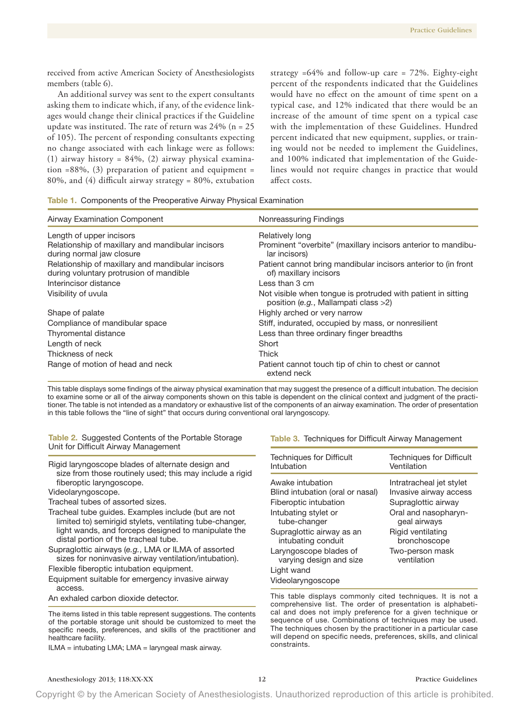received from active American Society of Anesthesiologists members (table 6).

An additional survey was sent to the expert consultants asking them to indicate which, if any, of the evidence linkages would change their clinical practices if the Guideline update was instituted. The rate of return was  $24\%$  (n = 25 of 105). The percent of responding consultants expecting no change associated with each linkage were as follows: (1) airway history =  $84\%$ , (2) airway physical examination =88%,  $(3)$  preparation of patient and equipment = 80%, and (4) difficult airway strategy = 80%, extubation

strategy  $=64\%$  and follow-up care  $= 72\%$ . Eighty-eight percent of the respondents indicated that the Guidelines would have no effect on the amount of time spent on a typical case, and 12% indicated that there would be an increase of the amount of time spent on a typical case with the implementation of these Guidelines. Hundred percent indicated that new equipment, supplies, or training would not be needed to implement the Guidelines, and 100% indicated that implementation of the Guidelines would not require changes in practice that would affect costs.

|  | <b>Table 1.</b> Components of the Preoperative Airway Physical Examination |  |
|--|----------------------------------------------------------------------------|--|
|--|----------------------------------------------------------------------------|--|

| Airway Examination Component                                                                 | Nonreassuring Findings                                                                               |
|----------------------------------------------------------------------------------------------|------------------------------------------------------------------------------------------------------|
| Length of upper incisors                                                                     | Relatively long                                                                                      |
| Relationship of maxillary and mandibular incisors<br>during normal jaw closure               | Prominent "overbite" (maxillary incisors anterior to mandibu-<br>lar incisors)                       |
| Relationship of maxillary and mandibular incisors<br>during voluntary protrusion of mandible | Patient cannot bring mandibular incisors anterior to (in front<br>of) maxillary incisors             |
| Interincisor distance                                                                        | Less than 3 cm                                                                                       |
| Visibility of uvula                                                                          | Not visible when tongue is protruded with patient in sitting<br>position (e.g., Mallampati class >2) |
| Shape of palate                                                                              | Highly arched or very narrow                                                                         |
| Compliance of mandibular space                                                               | Stiff, indurated, occupied by mass, or nonresilient                                                  |
| Thyromental distance                                                                         | Less than three ordinary finger breadths                                                             |
| Length of neck                                                                               | Short                                                                                                |
| Thickness of neck                                                                            | Thick                                                                                                |
| Range of motion of head and neck                                                             | Patient cannot touch tip of chin to chest or cannot<br>extend neck                                   |

This table displays some findings of the airway physical examination that may suggest the presence of a difficult intubation. The decision to examine some or all of the airway components shown on this table is dependent on the clinical context and judgment of the practitioner. The table is not intended as a mandatory or exhaustive list of the components of an airway examination. The order of presentation in this table follows the "line of sight" that occurs during conventional oral laryngoscopy.

Table 2. Suggested Contents of the Portable Storage Unit for Difficult Airway Management

- Rigid laryngoscope blades of alternate design and size from those routinely used; this may include a rigid fiberoptic laryngoscope.
- Videolaryngoscope.
- Tracheal tubes of assorted sizes.
- Tracheal tube guides. Examples include (but are not limited to) semirigid stylets, ventilating tube-changer, light wands, and forceps designed to manipulate the distal portion of the tracheal tube.
- Supraglottic airways (*e.g.*, LMA or ILMA of assorted sizes for noninvasive airway ventilation/intubation).
- Flexible fiberoptic intubation equipment.
- Equipment suitable for emergency invasive airway access.
- An exhaled carbon dioxide detector.

The items listed in this table represent suggestions. The contents of the portable storage unit should be customized to meet the specific needs, preferences, and skills of the practitioner and healthcare facility.

ILMA = intubating LMA; LMA = laryngeal mask airway.

Table 3. Techniques for Difficult Airway Management

| <b>Techniques for Difficult</b><br>Intubation                                                                                                                                                                                               | <b>Techniques for Difficult</b><br>Ventilation                                                                                                                                           |
|---------------------------------------------------------------------------------------------------------------------------------------------------------------------------------------------------------------------------------------------|------------------------------------------------------------------------------------------------------------------------------------------------------------------------------------------|
| Awake intubation<br>Blind intubation (oral or nasal)<br>Fiberoptic intubation<br>Intubating stylet or<br>tube-changer<br>Supraglottic airway as an<br>intubating conduit<br>Laryngoscope blades of<br>varying design and size<br>Light wand | Intratracheal jet stylet<br>Invasive airway access<br>Supraglottic airway<br>Oral and nasopharyn-<br>geal airways<br>Rigid ventilating<br>bronchoscope<br>Two-person mask<br>ventilation |
| Videolaryngoscope                                                                                                                                                                                                                           |                                                                                                                                                                                          |

This table displays commonly cited techniques. It is not a comprehensive list. The order of presentation is alphabetical and does not imply preference for a given technique or sequence of use. Combinations of techniques may be used. The techniques chosen by the practitioner in a particular case will depend on specific needs, preferences, skills, and clinical constraints.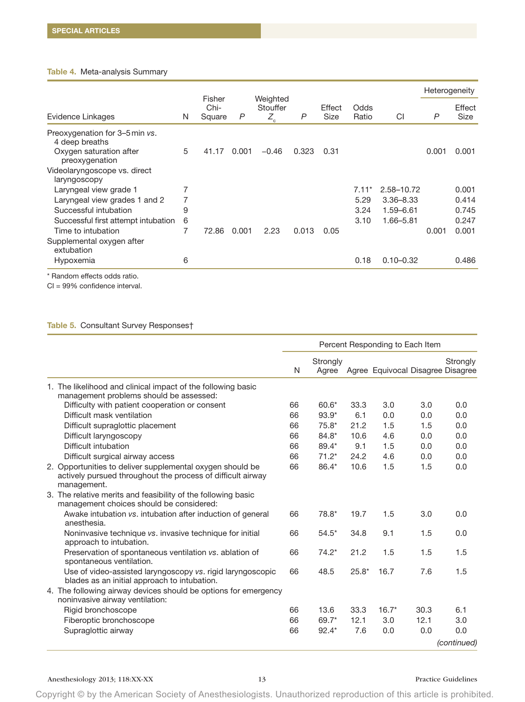# Table 4. Meta-analysis Summary

|                                                  |   |                          |       |                                 |       |                       |               |               | Heterogeneity |                |
|--------------------------------------------------|---|--------------------------|-------|---------------------------------|-------|-----------------------|---------------|---------------|---------------|----------------|
| Evidence Linkages                                | N | Fisher<br>Chi-<br>Square | P     | Weighted<br>Stouffer<br>$Z_{c}$ | P     | Effect<br><b>Size</b> | Odds<br>Ratio | CI            | P             | Effect<br>Size |
| Preoxygenation for 3-5 min vs.<br>4 deep breaths |   |                          |       |                                 |       |                       |               |               |               |                |
| Oxygen saturation after<br>preoxygenation        | 5 | 41.17                    | 0.001 | $-0.46$                         | 0.323 | 0.31                  |               |               | 0.001         | 0.001          |
| Videolaryngoscope vs. direct<br>laryngoscopy     |   |                          |       |                                 |       |                       |               |               |               |                |
| Laryngeal view grade 1                           |   |                          |       |                                 |       |                       | $7.11*$       | 2.58-10.72    |               | 0.001          |
| Laryngeal view grades 1 and 2                    | 7 |                          |       |                                 |       |                       | 5.29          | $3.36 - 8.33$ |               | 0.414          |
| Successful intubation                            | 9 |                          |       |                                 |       |                       | 3.24          | 1.59-6.61     |               | 0.745          |
| Successful first attempt intubation              | 6 |                          |       |                                 |       |                       | 3.10          | 1.66-5.81     |               | 0.247          |
| Time to intubation                               | 7 | 72.86                    | 0.001 | 2.23                            | 0.013 | 0.05                  |               |               | 0.001         | 0.001          |
| Supplemental oxygen after<br>extubation          |   |                          |       |                                 |       |                       |               |               |               |                |
| Hypoxemia                                        | 6 |                          |       |                                 |       |                       | 0.18          | $0.10 - 0.32$ |               | 0.486          |
| . . <i>. .</i>                                   |   |                          |       |                                 |       |                       |               |               |               |                |

Random effects odds ratio.

CI = 99% confidence interval.

# Table 5. Consultant Survey Responses†

|                                                                                                                                         |    |                   |         | Percent Responding to Each Item   |      |             |
|-----------------------------------------------------------------------------------------------------------------------------------------|----|-------------------|---------|-----------------------------------|------|-------------|
|                                                                                                                                         | N  | Strongly<br>Agree |         | Agree Equivocal Disagree Disagree |      | Strongly    |
| 1. The likelihood and clinical impact of the following basic<br>management problems should be assessed:                                 |    |                   |         |                                   |      |             |
| Difficulty with patient cooperation or consent                                                                                          | 66 | $60.6*$           | 33.3    | 3.0                               | 3.0  | 0.0         |
| Difficult mask ventilation                                                                                                              | 66 | $93.9*$           | 6.1     | 0.0                               | 0.0  | 0.0         |
| Difficult supraglottic placement                                                                                                        | 66 | $75.8*$           | 21.2    | 1.5                               | 1.5  | 0.0         |
| Difficult laryngoscopy                                                                                                                  | 66 | 84.8*             | 10.6    | 4.6                               | 0.0  | 0.0         |
| Difficult intubation                                                                                                                    | 66 | 89.4*             | 9.1     | 1.5                               | 0.0  | 0.0         |
| Difficult surgical airway access                                                                                                        | 66 | $71.2*$           | 24.2    | 4.6                               | 0.0  | 0.0         |
| 2. Opportunities to deliver supplemental oxygen should be<br>actively pursued throughout the process of difficult airway<br>management. | 66 | 86.4*             | 10.6    | 1.5                               | 1.5  | 0.0         |
| 3. The relative merits and feasibility of the following basic<br>management choices should be considered:                               |    |                   |         |                                   |      |             |
| Awake intubation vs. intubation after induction of general<br>anesthesia.                                                               | 66 | 78.8*             | 19.7    | 1.5                               | 3.0  | 0.0         |
| Noninvasive technique vs. invasive technique for initial<br>approach to intubation.                                                     | 66 | $54.5*$           | 34.8    | 9.1                               | 1.5  | 0.0         |
| Preservation of spontaneous ventilation vs. ablation of<br>spontaneous ventilation.                                                     | 66 | $74.2*$           | 21.2    | 1.5                               | 1.5  | 1.5         |
| Use of video-assisted laryngoscopy vs. rigid laryngoscopic<br>blades as an initial approach to intubation.                              | 66 | 48.5              | $25.8*$ | 16.7                              | 7.6  | 1.5         |
| 4. The following airway devices should be options for emergency<br>noninvasive airway ventilation:                                      |    |                   |         |                                   |      |             |
| Rigid bronchoscope                                                                                                                      | 66 | 13.6              | 33.3    | $16.7*$                           | 30.3 | 6.1         |
| Fiberoptic bronchoscope                                                                                                                 | 66 | $69.7*$           | 12.1    | 3.0                               | 12.1 | 3.0         |
| Supraglottic airway                                                                                                                     | 66 | $92.4*$           | 7.6     | 0.0                               | 0.0  | 0.0         |
|                                                                                                                                         |    |                   |         |                                   |      | (continued) |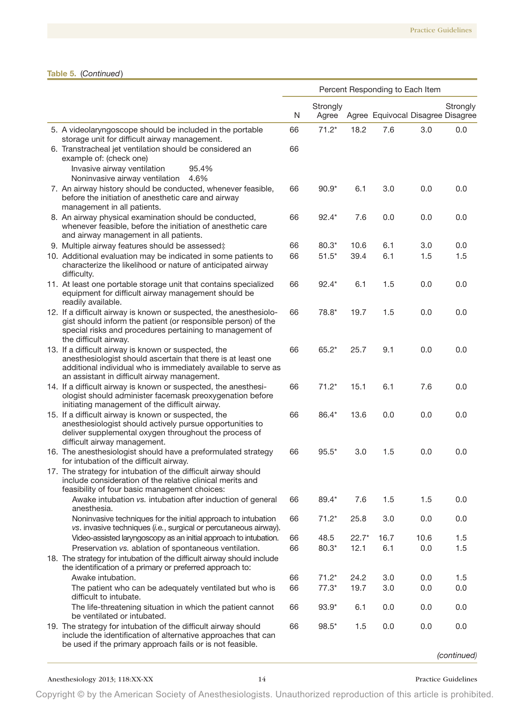# Table 5. (*Continued*)

|                                                                                                                                                                                                                                        | Percent Responding to Each Item |                   |         |                                   |      |             |
|----------------------------------------------------------------------------------------------------------------------------------------------------------------------------------------------------------------------------------------|---------------------------------|-------------------|---------|-----------------------------------|------|-------------|
|                                                                                                                                                                                                                                        | N                               | Strongly<br>Agree |         | Agree Equivocal Disagree Disagree |      | Strongly    |
| 5. A videolaryngoscope should be included in the portable<br>storage unit for difficult airway management.                                                                                                                             | 66                              | $71.2*$           | 18.2    | 7.6                               | 3.0  | 0.0         |
| 6. Transtracheal jet ventilation should be considered an<br>example of: (check one)<br>Invasive airway ventilation<br>95.4%<br>Noninvasive airway ventilation<br>4.6%                                                                  | 66                              |                   |         |                                   |      |             |
| 7. An airway history should be conducted, whenever feasible,<br>before the initiation of anesthetic care and airway<br>management in all patients.                                                                                     | 66                              | $90.9*$           | 6.1     | 3.0                               | 0.0  | 0.0         |
| 8. An airway physical examination should be conducted,<br>whenever feasible, before the initiation of anesthetic care<br>and airway management in all patients.                                                                        | 66                              | $92.4*$           | 7.6     | 0.0                               | 0.0  | 0.0         |
| 9. Multiple airway features should be assessed‡                                                                                                                                                                                        | 66                              | $80.3*$           | 10.6    | 6.1                               | 3.0  | 0.0         |
| 10. Additional evaluation may be indicated in some patients to<br>characterize the likelihood or nature of anticipated airway<br>difficulty.                                                                                           | 66                              | $51.5*$           | 39.4    | 6.1                               | 1.5  | 1.5         |
| 11. At least one portable storage unit that contains specialized<br>equipment for difficult airway management should be<br>readily available.                                                                                          | 66                              | $92.4*$           | 6.1     | 1.5                               | 0.0  | 0.0         |
| 12. If a difficult airway is known or suspected, the anesthesiolo-<br>gist should inform the patient (or responsible person) of the<br>special risks and procedures pertaining to management of<br>the difficult airway.               | 66                              | 78.8*             | 19.7    | 1.5                               | 0.0  | 0.0         |
| 13. If a difficult airway is known or suspected, the<br>anesthesiologist should ascertain that there is at least one<br>additional individual who is immediately available to serve as<br>an assistant in difficult airway management. | 66                              | $65.2*$           | 25.7    | 9.1                               | 0.0  | 0.0         |
| 14. If a difficult airway is known or suspected, the anesthesi-<br>ologist should administer facemask preoxygenation before<br>initiating management of the difficult airway.                                                          | 66                              | $71.2*$           | 15.1    | 6.1                               | 7.6  | 0.0         |
| 15. If a difficult airway is known or suspected, the<br>anesthesiologist should actively pursue opportunities to<br>deliver supplemental oxygen throughout the process of<br>difficult airway management.                              | 66                              | 86.4*             | 13.6    | 0.0                               | 0.0  | 0.0         |
| 16. The anesthesiologist should have a preformulated strategy<br>for intubation of the difficult airway.<br>17. The strategy for intubation of the difficult airway should                                                             | 66                              | $95.5*$           | 3.0     | 1.5                               | 0.0  | 0.0         |
| include consideration of the relative clinical merits and<br>feasibility of four basic management choices:                                                                                                                             |                                 |                   |         |                                   |      |             |
| Awake intubation vs. intubation after induction of general<br>anesthesia.                                                                                                                                                              | 66                              | 89.4*             | 7.6     | 1.5                               | 1.5  | 0.0         |
| Noninvasive techniques for the initial approach to intubation<br>vs. invasive techniques (i.e., surgical or percutaneous airway).                                                                                                      | 66                              | $71.2*$           | 25.8    | 3.0                               | 0.0  | 0.0         |
| Video-assisted laryngoscopy as an initial approach to intubation.                                                                                                                                                                      | 66                              | 48.5              | $22.7*$ | 16.7                              | 10.6 | 1.5         |
| Preservation vs. ablation of spontaneous ventilation.<br>18. The strategy for intubation of the difficult airway should include<br>the identification of a primary or preferred approach to:                                           | 66                              | $80.3*$           | 12.1    | 6.1                               | 0.0  | 1.5         |
| Awake intubation.                                                                                                                                                                                                                      | 66                              | $71.2*$           | 24.2    | 3.0                               | 0.0  | 1.5         |
| The patient who can be adequately ventilated but who is<br>difficult to intubate.                                                                                                                                                      | 66                              | $77.3*$           | 19.7    | 3.0                               | 0.0  | 0.0         |
| The life-threatening situation in which the patient cannot<br>be ventilated or intubated.                                                                                                                                              | 66                              | $93.9*$           | 6.1     | 0.0                               | 0.0  | 0.0         |
| 19. The strategy for intubation of the difficult airway should<br>include the identification of alternative approaches that can<br>be used if the primary approach fails or is not feasible.                                           | 66                              | $98.5*$           | 1.5     | 0.0                               | 0.0  | 0.0         |
|                                                                                                                                                                                                                                        |                                 |                   |         |                                   |      | (continued) |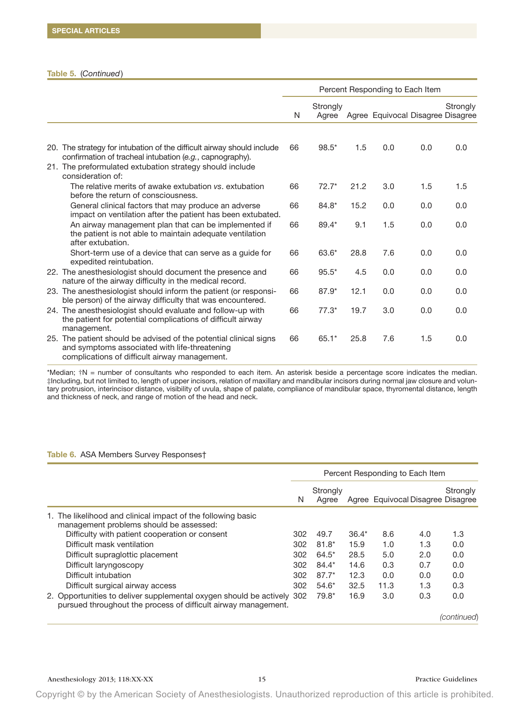#### Table 5. (*Continued*)

|                                                                                                                                                                     | Percent Responding to Each Item |                   |      |                                   |     |          |  |
|---------------------------------------------------------------------------------------------------------------------------------------------------------------------|---------------------------------|-------------------|------|-----------------------------------|-----|----------|--|
|                                                                                                                                                                     | N                               | Strongly<br>Agree |      | Agree Equivocal Disagree Disagree |     | Strongly |  |
|                                                                                                                                                                     |                                 |                   |      |                                   |     |          |  |
| 20. The strategy for intubation of the difficult airway should include<br>confirmation of tracheal intubation (e.g., capnography).                                  | 66                              | $98.5*$           | 1.5  | 0.0                               | 0.0 | 0.0      |  |
| 21. The preformulated extubation strategy should include<br>consideration of:                                                                                       |                                 |                   |      |                                   |     |          |  |
| The relative merits of awake extubation vs. extubation<br>before the return of consciousness.                                                                       | 66                              | $72.7*$           | 21.2 | 3.0                               | 1.5 | 1.5      |  |
| General clinical factors that may produce an adverse<br>impact on ventilation after the patient has been extubated.                                                 | 66                              | 84.8*             | 15.2 | 0.0                               | 0.0 | 0.0      |  |
| An airway management plan that can be implemented if<br>the patient is not able to maintain adequate ventilation<br>after extubation.                               | 66                              | 89.4*             | 9.1  | 1.5                               | 0.0 | 0.0      |  |
| Short-term use of a device that can serve as a guide for<br>expedited reintubation.                                                                                 | 66                              | 63.6*             | 28.8 | 7.6                               | 0.0 | 0.0      |  |
| 22. The anesthesiologist should document the presence and<br>nature of the airway difficulty in the medical record.                                                 | 66                              | $95.5*$           | 4.5  | 0.0                               | 0.0 | 0.0      |  |
| 23. The anesthesiologist should inform the patient (or responsi-<br>ble person) of the airway difficulty that was encountered.                                      | 66                              | $87.9*$           | 12.1 | 0.0                               | 0.0 | 0.0      |  |
| 24. The anesthesiologist should evaluate and follow-up with<br>the patient for potential complications of difficult airway<br>management.                           | 66                              | $77.3*$           | 19.7 | 3.0                               | 0.0 | 0.0      |  |
| 25. The patient should be advised of the potential clinical signs<br>and symptoms associated with life-threatening<br>complications of difficult airway management. | 66                              | $65.1*$           | 25.8 | 7.6                               | 1.5 | 0.0      |  |

\*Median; †N = number of consultants who responded to each item. An asterisk beside a percentage score indicates the median. ‡Including, but not limited to, length of upper incisors, relation of maxillary and mandibular incisors during normal jaw closure and voluntary protrusion, interincisor distance, visibility of uvula, shape of palate, compliance of mandibular space, thyromental distance, length and thickness of neck, and range of motion of the head and neck.

#### Table 6. ASA Members Survey Responses†

|                                                                                                                                          | Percent Responding to Each Item |                   |         |                                   |     |             |  |  |
|------------------------------------------------------------------------------------------------------------------------------------------|---------------------------------|-------------------|---------|-----------------------------------|-----|-------------|--|--|
|                                                                                                                                          | N                               | Strongly<br>Agree |         | Agree Equivocal Disagree Disagree |     | Strongly    |  |  |
| 1. The likelihood and clinical impact of the following basic<br>management problems should be assessed:                                  |                                 |                   |         |                                   |     |             |  |  |
| Difficulty with patient cooperation or consent                                                                                           | 302                             | 49.7              | $36.4*$ | 8.6                               | 4.0 | 1.3         |  |  |
| Difficult mask ventilation                                                                                                               | 302                             | $81.8*$           | 15.9    | 1.0                               | 1.3 | 0.0         |  |  |
| Difficult supraglottic placement                                                                                                         | 302                             | $64.5*$           | 28.5    | 5.0                               | 2.0 | 0.0         |  |  |
| Difficult laryngoscopy                                                                                                                   | 302                             | 84.4*             | 14.6    | 0.3                               | 0.7 | 0.0         |  |  |
| Difficult intubation                                                                                                                     | 302                             | $87.7*$           | 12.3    | 0.0                               | 0.0 | 0.0         |  |  |
| Difficult surgical airway access                                                                                                         | 302                             | $54.6*$           | 32.5    | 11.3                              | 1.3 | 0.3         |  |  |
| 2. Opportunities to deliver supplemental oxygen should be actively 302<br>pursued throughout the process of difficult airway management. |                                 | $79.8*$           | 16.9    | 3.0                               | 0.3 | 0.0         |  |  |
|                                                                                                                                          |                                 |                   |         |                                   |     | (continued) |  |  |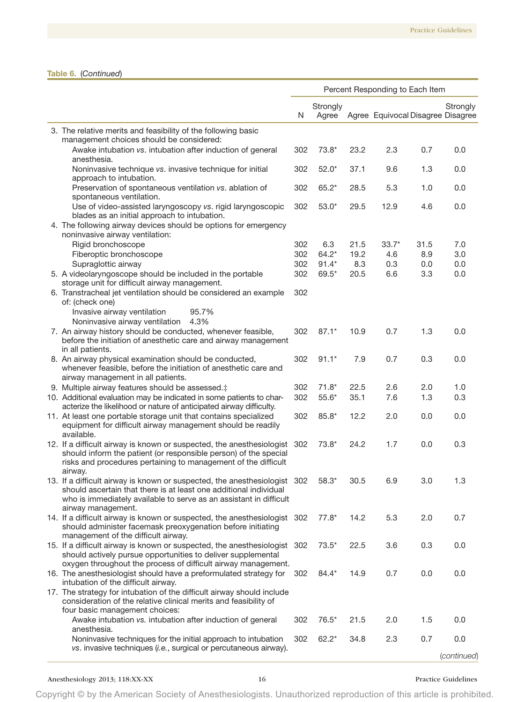# Table 6. (*Continued*)

|                                                                                                                                                                                                                                            | Percent Responding to Each Item |                   |      |                                   |      |             |
|--------------------------------------------------------------------------------------------------------------------------------------------------------------------------------------------------------------------------------------------|---------------------------------|-------------------|------|-----------------------------------|------|-------------|
|                                                                                                                                                                                                                                            | N                               | Strongly<br>Agree |      | Agree Equivocal Disagree Disagree |      | Strongly    |
| 3. The relative merits and feasibility of the following basic<br>management choices should be considered:                                                                                                                                  |                                 |                   |      |                                   |      |             |
| Awake intubation vs. intubation after induction of general<br>anesthesia.                                                                                                                                                                  | 302                             | 73.8*             | 23.2 | 2.3                               | 0.7  | 0.0         |
| Noninvasive technique vs. invasive technique for initial<br>approach to intubation.                                                                                                                                                        | 302                             | $52.0*$           | 37.1 | 9.6                               | 1.3  | 0.0         |
| Preservation of spontaneous ventilation vs. ablation of<br>spontaneous ventilation.                                                                                                                                                        | 302                             | $65.2*$           | 28.5 | 5.3                               | 1.0  | 0.0         |
| Use of video-assisted laryngoscopy vs. rigid laryngoscopic<br>blades as an initial approach to intubation.                                                                                                                                 | 302                             | $53.0*$           | 29.5 | 12.9                              | 4.6  | 0.0         |
| 4. The following airway devices should be options for emergency<br>noninvasive airway ventilation:                                                                                                                                         |                                 |                   |      |                                   |      |             |
| Rigid bronchoscope                                                                                                                                                                                                                         | 302                             | 6.3               | 21.5 | $33.7*$                           | 31.5 | 7.0         |
| Fiberoptic bronchoscope                                                                                                                                                                                                                    | 302                             | $64.2*$           | 19.2 | 4.6                               | 8.9  | 3.0         |
| Supraglottic airway                                                                                                                                                                                                                        | 302                             | $91.4*$           | 8.3  | 0.3                               | 0.0  | 0.0         |
| 5. A videolaryngoscope should be included in the portable<br>storage unit for difficult airway management.                                                                                                                                 | 302                             | 69.5*             | 20.5 | 6.6                               | 3.3  | 0.0         |
| 6. Transtracheal jet ventilation should be considered an example<br>of: (check one)                                                                                                                                                        | 302                             |                   |      |                                   |      |             |
| Invasive airway ventilation<br>95.7%<br>Noninvasive airway ventilation<br>4.3%                                                                                                                                                             |                                 |                   |      |                                   |      |             |
| 7. An airway history should be conducted, whenever feasible,<br>before the initiation of anesthetic care and airway management<br>in all patients.                                                                                         | 302                             | $87.1*$           | 10.9 | 0.7                               | 1.3  | 0.0         |
| 8. An airway physical examination should be conducted,<br>whenever feasible, before the initiation of anesthetic care and<br>airway management in all patients.                                                                            | 302                             | $91.1*$           | 7.9  | 0.7                               | 0.3  | 0.0         |
| 9. Multiple airway features should be assessed.#                                                                                                                                                                                           | 302                             | $71.8*$           | 22.5 | 2.6                               | 2.0  | 1.0         |
| 10. Additional evaluation may be indicated in some patients to char-<br>acterize the likelihood or nature of anticipated airway difficulty.                                                                                                | 302                             | $55.6*$           | 35.1 | 7.6                               | 1.3  | 0.3         |
| 11. At least one portable storage unit that contains specialized<br>equipment for difficult airway management should be readily<br>available.                                                                                              | 302                             | 85.8*             | 12.2 | 2.0                               | 0.0  | 0.0         |
| 12. If a difficult airway is known or suspected, the anesthesiologist<br>should inform the patient (or responsible person) of the special<br>risks and procedures pertaining to management of the difficult<br>airway.                     | 302                             | 73.8*             | 24.2 | 1.7                               | 0.0  | 0.3         |
| 13. If a difficult airway is known or suspected, the anesthesiologist 302<br>should ascertain that there is at least one additional individual<br>who is immediately available to serve as an assistant in difficult<br>airway management. |                                 | $58.3*$           | 30.5 | 6.9                               | 3.0  | 1.3         |
| 14. If a difficult airway is known or suspected, the anesthesiologist 302<br>should administer facemask preoxygenation before initiating                                                                                                   |                                 | $77.8*$           | 14.2 | 5.3                               | 2.0  | 0.7         |
| management of the difficult airway.<br>15. If a difficult airway is known or suspected, the anesthesiologist 302<br>should actively pursue opportunities to deliver supplemental                                                           |                                 | $73.5*$           | 22.5 | 3.6                               | 0.3  | 0.0         |
| oxygen throughout the process of difficult airway management.<br>16. The anesthesiologist should have a preformulated strategy for                                                                                                         | 302                             | 84.4*             | 14.9 | 0.7                               | 0.0  | 0.0         |
| intubation of the difficult airway.<br>17. The strategy for intubation of the difficult airway should include<br>consideration of the relative clinical merits and feasibility of                                                          |                                 |                   |      |                                   |      |             |
| four basic management choices:<br>Awake intubation vs. intubation after induction of general                                                                                                                                               | 302                             | 76.5*             | 21.5 | 2.0                               | 1.5  | 0.0         |
| anesthesia.<br>Noninvasive techniques for the initial approach to intubation                                                                                                                                                               | 302                             | $62.2*$           | 34.8 | 2.3                               | 0.7  | 0.0         |
| vs. invasive techniques (i.e., surgical or percutaneous airway).                                                                                                                                                                           |                                 |                   |      |                                   |      | (continued) |

Anesthesiology 2013; 118:XX-XX 16 Practice Guidelines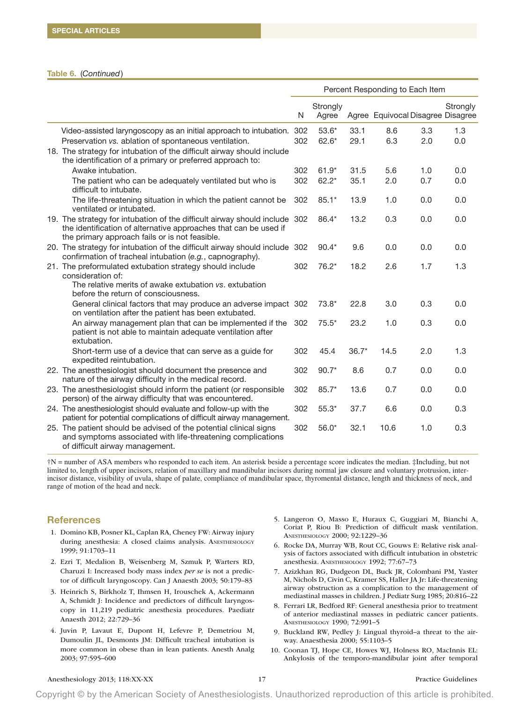#### Table 6. (*Continued*)

|                                                                                                                                                                                                  | Percent Responding to Each Item |                    |              |            |            |                                               |  |
|--------------------------------------------------------------------------------------------------------------------------------------------------------------------------------------------------|---------------------------------|--------------------|--------------|------------|------------|-----------------------------------------------|--|
|                                                                                                                                                                                                  | N                               | Strongly<br>Agree  |              |            |            | Strongly<br>Agree Equivocal Disagree Disagree |  |
| Video-assisted laryngoscopy as an initial approach to intubation.<br>Preservation vs. ablation of spontaneous ventilation.                                                                       | 302<br>302                      | $53.6*$<br>$62.6*$ | 33.1<br>29.1 | 8.6<br>6.3 | 3.3<br>2.0 | 1.3<br>0.0                                    |  |
| 18. The strategy for intubation of the difficult airway should include<br>the identification of a primary or preferred approach to:                                                              |                                 |                    |              |            |            |                                               |  |
| Awake intubation.                                                                                                                                                                                | 302                             | $61.9*$            | 31.5         | 5.6        | 1.0        | 0.0                                           |  |
| The patient who can be adequately ventilated but who is<br>difficult to intubate.                                                                                                                | 302                             | $62.2*$            | 35.1         | 2.0        | 0.7        | 0.0                                           |  |
| The life-threatening situation in which the patient cannot be<br>ventilated or intubated.                                                                                                        | 302                             | $85.1*$            | 13.9         | 1.0        | 0.0        | 0.0                                           |  |
| 19. The strategy for intubation of the difficult airway should include 302<br>the identification of alternative approaches that can be used if<br>the primary approach fails or is not feasible. |                                 | 86.4*              | 13.2         | 0.3        | 0.0        | 0.0                                           |  |
| 20. The strategy for intubation of the difficult airway should include 302<br>confirmation of tracheal intubation (e.g., capnography).                                                           |                                 | $90.4*$            | 9.6          | 0.0        | 0.0        | 0.0                                           |  |
| 21. The preformulated extubation strategy should include<br>consideration of:<br>The relative merits of awake extubation vs. extubation                                                          | 302                             | $76.2*$            | 18.2         | 2.6        | 1.7        | 1.3                                           |  |
| before the return of consciousness.                                                                                                                                                              |                                 |                    |              |            |            |                                               |  |
| General clinical factors that may produce an adverse impact 302<br>on ventilation after the patient has been extubated.                                                                          |                                 | $73.8*$            | 22.8         | 3.0        | 0.3        | 0.0                                           |  |
| An airway management plan that can be implemented if the<br>patient is not able to maintain adequate ventilation after<br>extubation.                                                            | 302                             | $75.5*$            | 23.2         | 1.0        | 0.3        | 0.0                                           |  |
| Short-term use of a device that can serve as a guide for<br>expedited reintubation.                                                                                                              | 302                             | 45.4               | $36.7*$      | 14.5       | 2.0        | 1.3                                           |  |
| 22. The anesthesiologist should document the presence and<br>nature of the airway difficulty in the medical record.                                                                              | 302                             | $90.7*$            | 8.6          | 0.7        | 0.0        | 0.0                                           |  |
| 23. The anesthesiologist should inform the patient (or responsible<br>person) of the airway difficulty that was encountered.                                                                     | 302                             | $85.7*$            | 13.6         | 0.7        | 0.0        | 0.0                                           |  |
| 24. The anesthesiologist should evaluate and follow-up with the<br>patient for potential complications of difficult airway management.                                                           | 302                             | $55.3*$            | 37.7         | 6.6        | 0.0        | 0.3                                           |  |
| 25. The patient should be advised of the potential clinical signs<br>and symptoms associated with life-threatening complications<br>of difficult airway management.                              | 302                             | $56.0*$            | 32.1         | 10.6       | 1.0        | 0.3                                           |  |

†N = number of ASA members who responded to each item. An asterisk beside a percentage score indicates the median. ‡Including, but not limited to, length of upper incisors, relation of maxillary and mandibular incisors during normal jaw closure and voluntary protrusion, interincisor distance, visibility of uvula, shape of palate, compliance of mandibular space, thyromental distance, length and thickness of neck, and range of motion of the head and neck.

#### **References**

- 1. Domino KB, Posner KL, Caplan RA, Cheney FW: Airway injury during anesthesia: A closed claims analysis. Anesthesiology 1999; 91:1703–11
- 2. Ezri T, Medalion B, Weisenberg M, Szmuk P, Warters RD, Charuzi I: Increased body mass index *per se* is not a predictor of difficult laryngoscopy. Can J Anaesth 2003; 50:179–83
- 3. Heinrich S, Birkholz T, Ihmsen H, Irouschek A, Ackermann A, Schmidt J: Incidence and predictors of difficult laryngoscopy in 11,219 pediatric anesthesia procedures. Paediatr Anaesth 2012; 22:729–36
- 4. Juvin P, Lavaut E, Dupont H, Lefevre P, Demetriou M, Dumoulin JL, Desmonts JM: Difficult tracheal intubation is more common in obese than in lean patients. Anesth Analg 2003; 97:595–600
- 5. Langeron O, Masso E, Huraux C, Guggiari M, Bianchi A, Coriat P, Riou B: Prediction of difficult mask ventilation. Anesthesiology 2000; 92:1229–36
- 6. Rocke DA, Murray WB, Rout CC, Gouws E: Relative risk analysis of factors associated with difficult intubation in obstetric anesthesia. Anesthesiology 1992; 77:67–73
- 7. Azizkhan RG, Dudgeon DL, Buck JR, Colombani PM, Yaster M, Nichols D, Civin C, Kramer SS, Haller JA Jr: Life-threatening airway obstruction as a complication to the management of mediastinal masses in children. J Pediatr Surg 1985; 20:816–22
- 8. Ferrari LR, Bedford RF: General anesthesia prior to treatment of anterior mediastinal masses in pediatric cancer patients. Anesthesiology 1990; 72:991–5
- 9. Buckland RW, Pedley J: Lingual thyroid–a threat to the airway. Anaesthesia 2000; 55:1103–5
- 10. Coonan TJ, Hope CE, Howes WJ, Holness RO, MacInnis EL: Ankylosis of the temporo-mandibular joint after temporal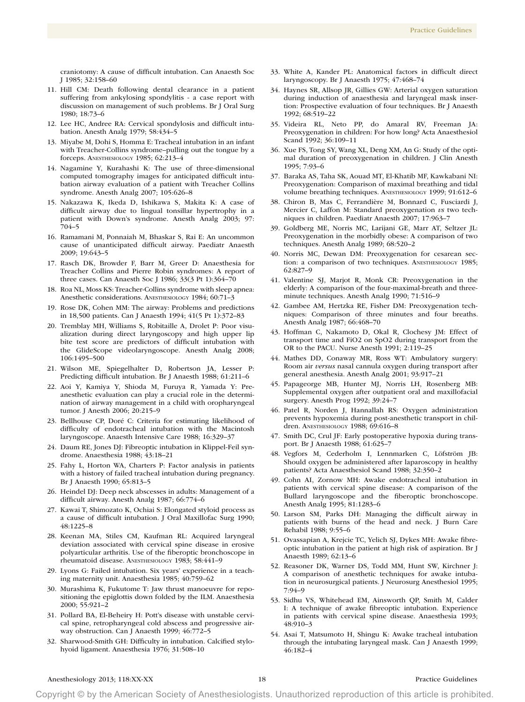craniotomy: A cause of difficult intubation. Can Anaesth Soc J 1985; 32:158–60

- 11. Hill CM: Death following dental clearance in a patient suffering from ankylosing spondylitis - a case report with discussion on management of such problems. Br J Oral Surg 1980; 18:73–6
- 12. Lee HC, Andree RA: Cervical spondylosis and difficult intubation. Anesth Analg 1979; 58:434–5
- 13. Miyabe M, Dohi S, Homma E: Tracheal intubation in an infant with Treacher-Collins syndrome–pulling out the tongue by a forceps. Anesthesiology 1985; 62:213–4
- 14. Nagamine Y, Kurahashi K: The use of three-dimensional computed tomography images for anticipated difficult intubation airway evaluation of a patient with Treacher Collins syndrome. Anesth Analg 2007; 105:626–8
- 15. Nakazawa K, Ikeda D, Ishikawa S, Makita K: A case of difficult airway due to lingual tonsillar hypertrophy in a patient with Down's syndrome. Anesth Analg 2003; 97: 704–5
- 16. Ramamani M, Ponnaiah M, Bhaskar S, Rai E: An uncommon cause of unanticipated difficult airway. Paediatr Anaesth 2009; 19:643–5
- 17. Rasch DK, Browder F, Barr M, Greer D: Anaesthesia for Treacher Collins and Pierre Robin syndromes: A report of three cases. Can Anaesth Soc J 1986; 33(3 Pt 1):364–70
- 18. Roa NL, Moss KS: Treacher-Collins syndrome with sleep apnea: Anesthetic considerations. Anesthesiology 1984; 60:71–3
- 19. Rose DK, Cohen MM: The airway: Problems and predictions in 18,500 patients. Can J Anaesth 1994; 41(5 Pt 1):372–83
- 20. Tremblay MH, Williams S, Robitaille A, Drolet P: Poor visualization during direct laryngoscopy and high upper lip bite test score are predictors of difficult intubation with the GlideScope videolaryngoscope. Anesth Analg 2008; 106:1495–500
- 21. Wilson ME, Spiegelhalter D, Robertson JA, Lesser P: Predicting difficult intubation. Br J Anaesth 1988; 61:211–6
- 22. Aoi Y, Kamiya Y, Shioda M, Furuya R, Yamada Y: Preanesthetic evaluation can play a crucial role in the determination of airway management in a child with oropharyngeal tumor. J Anesth 2006; 20:215–9
- 23. Bellhouse CP, Doré C: Criteria for estimating likelihood of difficulty of endotracheal intubation with the Macintosh laryngoscope. Anaesth Intensive Care 1988; 16:329–37
- 24. Daum RE, Jones DJ: Fibreoptic intubation in Klippel-Feil syndrome. Anaesthesia 1988; 43:18–21
- 25. Fahy L, Horton WA, Charters P: Factor analysis in patients with a history of failed tracheal intubation during pregnancy. Br J Anaesth 1990; 65:813–5
- 26. Heindel DJ: Deep neck abscesses in adults: Management of a difficult airway. Anesth Analg 1987; 66:774–6
- 27. Kawai T, Shimozato K, Ochiai S: Elongated styloid process as a cause of difficult intubation. J Oral Maxillofac Surg 1990; 48:1225–8
- 28. Keenan MA, Stiles CM, Kaufman RL: Acquired laryngeal deviation associated with cervical spine disease in erosive polyarticular arthritis. Use of the fiberoptic bronchoscope in rheumatoid disease. Anesthesiology 1983; 58:441–9
- 29. Lyons G: Failed intubation. Six years' experience in a teaching maternity unit. Anaesthesia 1985; 40:759–62
- 30. Murashima K, Fukutome T: Jaw thrust manoeuvre for repositioning the epiglottis down folded by the ILM. Anaesthesia 2000; 55:921–2
- 31. Pollard BA, El-Beheiry H: Pott's disease with unstable cervical spine, retropharyngeal cold abscess and progressive airway obstruction. Can J Anaesth 1999; 46:772–5
- 32. Sharwood-Smith GH: Difficulty in intubation. Calcified stylohyoid ligament. Anaesthesia 1976; 31:508–10
- 33. White A, Kander PL: Anatomical factors in difficult direct laryngoscopy. Br J Anaesth 1975; 47:468–74
- 34. Haynes SR, Allsop JR, Gillies GW: Arterial oxygen saturation during induction of anaesthesia and laryngeal mask insertion: Prospective evaluation of four techniques. Br J Anaesth 1992; 68:519–22
- 35. Videira RL, Neto PP, do Amaral RV, Freeman JA: Preoxygenation in children: For how long? Acta Anaesthesiol Scand 1992; 36:109–11
- 36. Xue FS, Tong SY, Wang XL, Deng XM, An G: Study of the optimal duration of preoxygenation in children. J Clin Anesth 1995; 7:93–6
- 37. Baraka AS, Taha SK, Aouad MT, El-Khatib MF, Kawkabani NI: Preoxygenation: Comparison of maximal breathing and tidal volume breathing techniques. Anesthesiology 1999; 91:612–6
- 38. Chiron B, Mas C, Ferrandière M, Bonnard C, Fusciardi J, Mercier C, Laffon M: Standard preoxygenation *vs* two techniques in children. Paediatr Anaesth 2007; 17:963–7
- 39. Goldberg ME, Norris MC, Larijani GE, Marr AT, Seltzer JL: Preoxygenation in the morbidly obese: A comparison of two techniques. Anesth Analg 1989; 68:520–2
- 40. Norris MC, Dewan DM: Preoxygenation for cesarean section: a comparison of two techniques. Anesthesiology 1985; 62:827–9
- 41. Valentine SJ, Marjot R, Monk CR: Preoxygenation in the elderly: A comparison of the four-maximal-breath and threeminute techniques. Anesth Analg 1990; 71:516–9
- 42. Gambee AM, Hertzka RE, Fisher DM: Preoxygenation techniques: Comparison of three minutes and four breaths. Anesth Analg 1987; 66:468–70
- 43. Hoffman C, Nakamoto D, Okal R, Clochesy JM: Effect of transport time and FiO2 on SpO2 during transport from the OR to the PACU. Nurse Anesth 1991; 2:119–25
- 44. Mathes DD, Conaway MR, Ross WT: Ambulatory surgery: Room air *versus* nasal cannula oxygen during transport after general anesthesia. Anesth Analg 2001; 93:917–21
- 45. Papageorge MB, Hunter MJ, Norris LH, Rosenberg MB: Supplemental oxygen after outpatient oral and maxillofacial surgery. Anesth Prog 1992; 39:24–7
- 46. Patel R, Norden J, Hannallah RS: Oxygen administration prevents hypoxemia during post-anesthetic transport in children. Anesthesiology 1988; 69:616–8
- 47. Smith DC, Crul JF: Early postoperative hypoxia during transport. Br J Anaesth 1988; 61:625–7
- 48. Vegfors M, Cederholm I, Lennmarken C, Löfström JB: Should oxygen be administered after laparoscopy in healthy patients? Acta Anaesthesiol Scand 1988; 32:350–2
- 49. Cohn AI, Zornow MH: Awake endotracheal intubation in patients with cervical spine disease: A comparison of the Bullard laryngoscope and the fiberoptic bronchoscope. Anesth Analg 1995; 81:1283–6
- 50. Larson SM, Parks DH: Managing the difficult airway in patients with burns of the head and neck. J Burn Care Rehabil 1988; 9:55–6
- 51. Ovassapian A, Krejcie TC, Yelich SJ, Dykes MH: Awake fibreoptic intubation in the patient at high risk of aspiration. Br J Anaesth 1989; 62:13–6
- 52. Reasoner DK, Warner DS, Todd MM, Hunt SW, Kirchner J: A comparison of anesthetic techniques for awake intubation in neurosurgical patients. J Neurosurg Anesthesiol 1995; 7:94–9
- 53. Sidhu VS, Whitehead EM, Ainsworth QP, Smith M, Calder I: A technique of awake fibreoptic intubation. Experience in patients with cervical spine disease. Anaesthesia 1993; 48:910–3
- 54. Asai T, Matsumoto H, Shingu K: Awake tracheal intubation through the intubating laryngeal mask. Can J Anaesth 1999; 46:182–4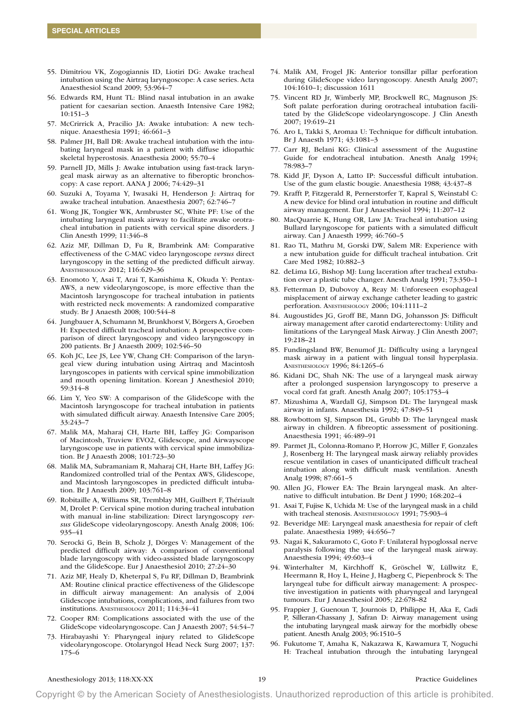- 55. Dimitriou VK, Zogogiannis ID, Liotiri DG: Awake tracheal intubation using the Airtraq laryngoscope: A case series. Acta Anaesthesiol Scand 2009; 53:964–7
- 56. Edwards RM, Hunt TL: Blind nasal intubation in an awake patient for caesarian section. Anaesth Intensive Care 1982; 10:151–3
- 57. McCrirrick A, Pracilio JA: Awake intubation: A new technique. Anaesthesia 1991; 46:661–3
- 58. Palmer JH, Ball DR: Awake tracheal intubation with the intubating laryngeal mask in a patient with diffuse idiopathic skeletal hyperostosis. Anaesthesia 2000; 55:70–4
- 59. Parnell JD, Mills J: Awake intubation using fast-track laryngeal mask airway as an alternative to fiberoptic bronchoscopy: A case report. AANA J 2006; 74:429–31
- 60. Suzuki A, Toyama Y, Iwasaki H, Henderson J: Airtraq for awake tracheal intubation. Anaesthesia 2007; 62:746–7
- 61. Wong JK, Tongier WK, Armbruster SC, White PF: Use of the intubating laryngeal mask airway to facilitate awake orotracheal intubation in patients with cervical spine disorders. J Clin Anesth 1999; 11:346–8
- 62. Aziz MF, Dillman D, Fu R, Brambrink AM: Comparative effectiveness of the C-MAC video laryngoscope *versus* direct laryngoscopy in the setting of the predicted difficult airway. Anesthesiology 2012; 116:629–36
- 63. Enomoto Y, Asai T, Arai T, Kamishima K, Okuda Y: Pentax-AWS, a new videolaryngoscope, is more effective than the Macintosh laryngoscope for tracheal intubation in patients with restricted neck movements: A randomized comparative study. Br J Anaesth 2008; 100:544–8
- 64. Jungbauer A, Schumann M, Brunkhorst V, Börgers A, Groeben H: Expected difficult tracheal intubation: A prospective comparison of direct laryngoscopy and video laryngoscopy in 200 patients. Br J Anaesth 2009; 102:546–50
- 65. Koh JC, Lee JS, Lee YW, Chang CH: Comparison of the laryngeal view during intubation using Airtraq and Macintosh laryngoscopes in patients with cervical spine immobilization and mouth opening limitation. Korean J Anesthesiol 2010; 59:314–8
- 66. Lim Y, Yeo SW: A comparison of the GlideScope with the Macintosh laryngoscope for tracheal intubation in patients with simulated difficult airway. Anaesth Intensive Care 2005; 33:243–7
- 67. Malik MA, Maharaj CH, Harte BH, Laffey JG: Comparison of Macintosh, Truview EVO2, Glidescope, and Airwayscope laryngoscope use in patients with cervical spine immobilization. Br J Anaesth 2008; 101:723–30
- 68. Malik MA, Subramaniam R, Maharaj CH, Harte BH, Laffey JG: Randomized controlled trial of the Pentax AWS, Glidescope, and Macintosh laryngoscopes in predicted difficult intubation. Br J Anaesth 2009; 103:761–8
- 69. Robitaille A, Williams SR, Tremblay MH, Guilbert F, Thériault M, Drolet P: Cervical spine motion during tracheal intubation with manual in-line stabilization: Direct laryngoscopy *versus* GlideScope videolaryngoscopy. Anesth Analg 2008; 106: 935–41
- 70. Serocki G, Bein B, Scholz J, Dörges V: Management of the predicted difficult airway: A comparison of conventional blade laryngoscopy with video-assisted blade laryngoscopy and the GlideScope. Eur J Anaesthesiol 2010; 27:24–30
- 71. Aziz MF, Healy D, Kheterpal S, Fu RF, Dillman D, Brambrink AM: Routine clinical practice effectiveness of the Glidescope in difficult airway management: An analysis of 2,004 Glidescope intubations, complications, and failures from two institutions. Anesthesiology 2011; 114:34–41
- 72. Cooper RM: Complications associated with the use of the GlideScope videolaryngoscope. Can J Anaesth 2007; 54:54–7
- 73. Hirabayashi Y: Pharyngeal injury related to GlideScope videolaryngoscope. Otolaryngol Head Neck Surg 2007; 137: 175–6
- 74. Malik AM, Frogel JK: Anterior tonsillar pillar perforation during GlideScope video laryngoscopy. Anesth Analg 2007; 104:1610–1; discussion 1611
- 75. Vincent RD Jr, Wimberly MP, Brockwell RC, Magnuson JS: Soft palate perforation during orotracheal intubation facilitated by the GlideScope videolaryngoscope. J Clin Anesth 2007; 19:619–21
- 76. Aro L, Takki S, Aromaa U: Technique for difficult intubation. Br J Anaesth 1971; 43:1081–3
- 77. Carr RJ, Belani KG: Clinical assessment of the Augustine Guide for endotracheal intubation. Anesth Analg 1994; 78:983–7
- 78. Kidd JF, Dyson A, Latto IP: Successful difficult intubation. Use of the gum elastic bougie. Anaesthesia 1988; 43:437–8
- 79. Krafft P, Fitzgerald R, Pernerstorfer T, Kapral S, Weinstabl C: A new device for blind oral intubation in routine and difficult airway management. Eur J Anaesthesiol 1994; 11:207–12
- 80. MacQuarrie K, Hung OR, Law JA: Tracheal intubation using Bullard laryngoscope for patients with a simulated difficult airway. Can J Anaesth 1999; 46:760–5
- 81. Rao TL, Mathru M, Gorski DW, Salem MR: Experience with a new intubation guide for difficult tracheal intubation. Crit Care Med 1982; 10:882–3
- 82. deLima LG, Bishop MJ: Lung laceration after tracheal extubation over a plastic tube changer. Anesth Analg 1991; 73:350–1
- 83. Fetterman D, Dubovoy A, Reay M: Unforeseen esophageal misplacement of airway exchange catheter leading to gastric perforation. Anesthesiology 2006; 104:1111–2
- 84. Augoustides JG, Groff BE, Mann DG, Johansson JS: Difficult airway management after carotid endarterectomy: Utility and limitations of the Laryngeal Mask Airway. J Clin Anesth 2007; 19:218–21
- 85. Fundingsland BW, Benumof JL: Difficulty using a laryngeal mask airway in a patient with lingual tonsil hyperplasia. Anesthesiology 1996; 84:1265–6
- 86. Kidani DC, Shah NK: The use of a laryngeal mask airway after a prolonged suspension laryngoscopy to preserve a vocal cord fat graft. Anesth Analg 2007; 105:1753–4
- 87. Mizushima A, Wardall GJ, Simpson DL: The laryngeal mask airway in infants. Anaesthesia 1992; 47:849–51
- 88. Rowbottom SJ, Simpson DL, Grubb D: The laryngeal mask airway in children. A fibreoptic assessment of positioning. Anaesthesia 1991; 46:489–91
- 89. Parmet JL, Colonna-Romano P, Horrow JC, Miller F, Gonzales J, Rosenberg H: The laryngeal mask airway reliably provides rescue ventilation in cases of unanticipated difficult tracheal intubation along with difficult mask ventilation. Anesth Analg 1998; 87:661–5
- 90. Allen JG, Flower EA: The Brain laryngeal mask. An alternative to difficult intubation. Br Dent J 1990; 168:202–4
- 91. Asai T, Fujise K, Uchida M: Use of the laryngeal mask in a child with tracheal stenosis. Anesthesiology 1991; 75:903–4
- 92. Beveridge ME: Laryngeal mask anaesthesia for repair of cleft palate. Anaesthesia 1989; 44:656–7
- 93. Nagai K, Sakuramoto C, Goto F: Unilateral hypoglossal nerve paralysis following the use of the laryngeal mask airway. Anaesthesia 1994; 49:603–4
- 94. Winterhalter M, Kirchhoff K, Gröschel W, Lüllwitz E, Heermann R, Hoy L, Heine J, Hagberg C, Piepenbrock S: The laryngeal tube for difficult airway management: A prospective investigation in patients with pharyngeal and laryngeal tumours. Eur J Anaesthesiol 2005; 22:678–82
- 95. Frappier J, Guenoun T, Journois D, Philippe H, Aka E, Cadi P, Silleran-Chassany J, Safran D: Airway management using the intubating laryngeal mask airway for the morbidly obese patient. Anesth Analg 2003; 96:1510–5
- 96. Fukutome T, Amaha K, Nakazawa K, Kawamura T, Noguchi H: Tracheal intubation through the intubating laryngeal